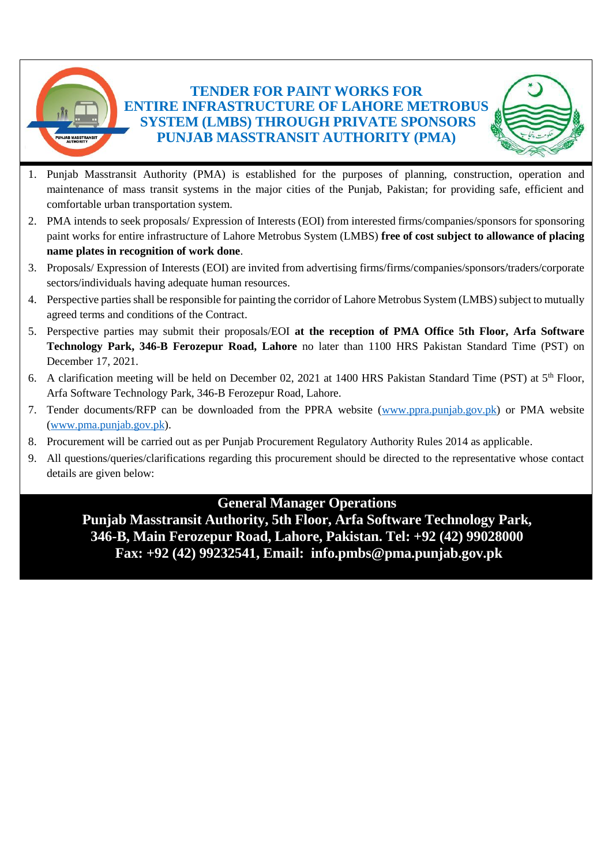#### **TENDER FOR PAINT WORKS FOR ENTIRE INFRASTRUCTURE OF LAHORE METROBUS SYSTEM (LMBS) THROUGH PRIVATE SPONSORS PUNJAB MASSTRANSIT AUTHORITY (PMA)**



- 1. Punjab Masstransit Authority (PMA) is established for the purposes of planning, construction, operation and maintenance of mass transit systems in the major cities of the Punjab, Pakistan; for providing safe, efficient and comfortable urban transportation system.
- 2. PMA intends to seek proposals/ Expression of Interests (EOI) from interested firms/companies/sponsors for sponsoring paint works for entire infrastructure of Lahore Metrobus System (LMBS) **free of cost subject to allowance of placing name plates in recognition of work done**.
- 3. Proposals/ Expression of Interests (EOI) are invited from advertising firms/firms/companies/sponsors/traders/corporate sectors/individuals having adequate human resources.
- 4. Perspective parties shall be responsible for painting the corridor of Lahore Metrobus System (LMBS) subject to mutually agreed terms and conditions of the Contract.
- 5. Perspective parties may submit their proposals/EOI **at the reception of PMA Office 5th Floor, Arfa Software Technology Park, 346-B Ferozepur Road, Lahore** no later than 1100 HRS Pakistan Standard Time (PST) on December 17, 2021.
- 6. A clarification meeting will be held on December 02, 2021 at 1400 HRS Pakistan Standard Time (PST) at  $5<sup>th</sup>$  Floor, Arfa Software Technology Park, 346-B Ferozepur Road, Lahore.
- 7. Tender documents/RFP can be downloaded from the PPRA website [\(www.ppra.punjab.gov.pk\)](http://www.ppra.punjab.gov.pk/) or PMA website [\(www.pma.punjab.gov.pk\)](http://www.pma.punjab.gov.pk/).
- 8. Procurement will be carried out as per Punjab Procurement Regulatory Authority Rules 2014 as applicable.
- 9. All questions/queries/clarifications regarding this procurement should be directed to the representative whose contact details are given below:

#### **General Manager Operations**

**Punjab Masstransit Authority, 5th Floor, Arfa Software Technology Park, 346-B, Main Ferozepur Road, Lahore, Pakistan. Tel: +92 (42) 99028000 Fax: +92 (42) 99232541, Email: info.pmbs@pma.punjab.gov.pk**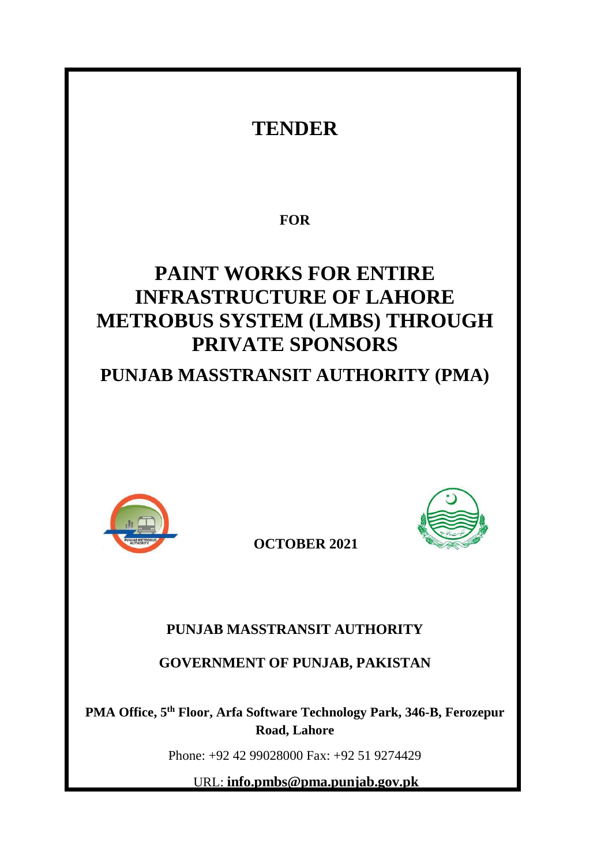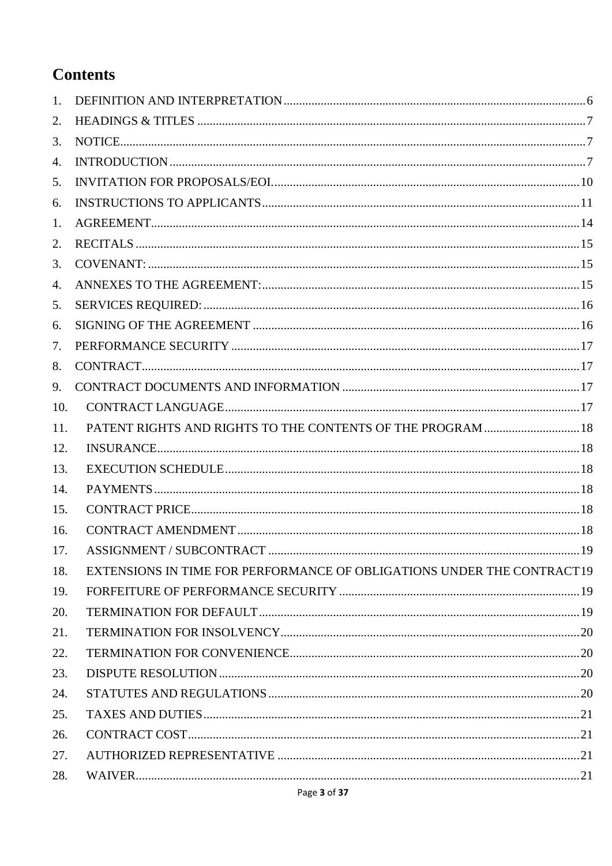# **Contents**

| 1.  |                                                                        |  |
|-----|------------------------------------------------------------------------|--|
| 2.  |                                                                        |  |
| 3.  |                                                                        |  |
| 4.  |                                                                        |  |
| 5.  |                                                                        |  |
| 6.  |                                                                        |  |
| 1.  |                                                                        |  |
| 2.  |                                                                        |  |
| 3.  |                                                                        |  |
| 4.  |                                                                        |  |
| 5.  |                                                                        |  |
| 6.  |                                                                        |  |
| 7.  |                                                                        |  |
| 8.  |                                                                        |  |
| 9.  |                                                                        |  |
| 10. |                                                                        |  |
| 11. | PATENT RIGHTS AND RIGHTS TO THE CONTENTS OF THE PROGRAM  18            |  |
| 12. |                                                                        |  |
| 13. |                                                                        |  |
| 14. |                                                                        |  |
| 15. |                                                                        |  |
| 16. |                                                                        |  |
| 17. |                                                                        |  |
| 18. | EXTENSIONS IN TIME FOR PERFORMANCE OF OBLIGATIONS UNDER THE CONTRACT19 |  |
| 19. |                                                                        |  |
| 20. |                                                                        |  |
| 21. |                                                                        |  |
| 22. |                                                                        |  |
| 23. |                                                                        |  |
| 24. |                                                                        |  |
| 25. |                                                                        |  |
| 26. |                                                                        |  |
| 27. |                                                                        |  |
| 28. |                                                                        |  |
|     |                                                                        |  |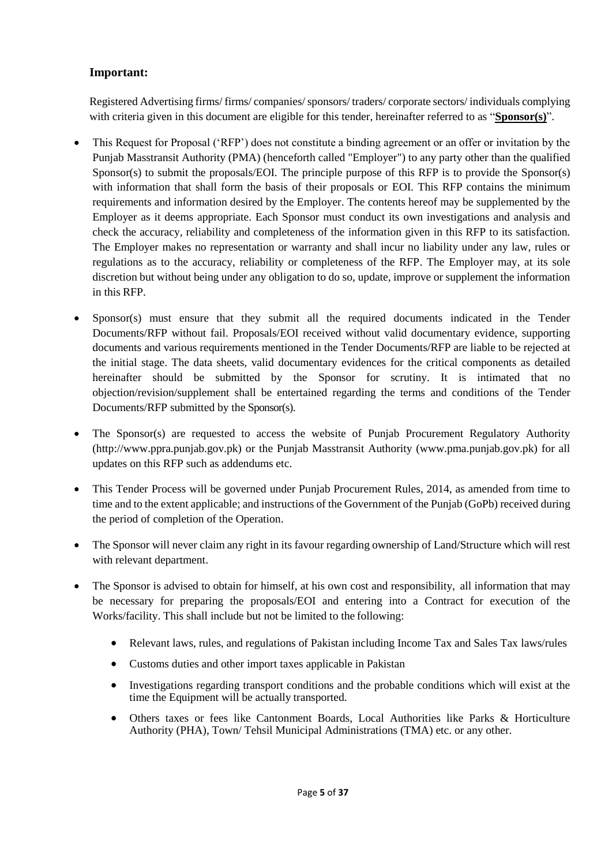#### **Important:**

Registered Advertising firms/ firms/ companies/sponsors/ traders/ corporate sectors/ individuals complying with criteria given in this document are eligible for this tender, hereinafter referred to as "**Sponsor(s)**".

- This Request for Proposal ('RFP') does not constitute a binding agreement or an offer or invitation by the Punjab Masstransit Authority (PMA) (henceforth called "Employer") to any party other than the qualified Sponsor(s) to submit the proposals/EOI. The principle purpose of this RFP is to provide the Sponsor(s) with information that shall form the basis of their proposals or EOI. This RFP contains the minimum requirements and information desired by the Employer. The contents hereof may be supplemented by the Employer as it deems appropriate. Each Sponsor must conduct its own investigations and analysis and check the accuracy, reliability and completeness of the information given in this RFP to its satisfaction. The Employer makes no representation or warranty and shall incur no liability under any law, rules or regulations as to the accuracy, reliability or completeness of the RFP. The Employer may, at its sole discretion but without being under any obligation to do so, update, improve or supplement the information in this RFP.
- Sponsor(s) must ensure that they submit all the required documents indicated in the Tender Documents/RFP without fail. Proposals/EOI received without valid documentary evidence, supporting documents and various requirements mentioned in the Tender Documents/RFP are liable to be rejected at the initial stage. The data sheets, valid documentary evidences for the critical components as detailed hereinafter should be submitted by the Sponsor for scrutiny. It is intimated that no objection/revision/supplement shall be entertained regarding the terms and conditions of the Tender Documents/RFP submitted by the Sponsor(s).
- The Sponsor(s) are requested to access the website of Punjab Procurement Regulatory Authority (http://www.ppra.punjab.gov.pk) or the Punjab Masstransit Authority (www.pma.punjab.gov.pk) for all updates on this RFP such as addendums etc.
- This Tender Process will be governed under Punjab Procurement Rules, 2014, as amended from time to time and to the extent applicable; and instructions of the Government of the Punjab (GoPb) received during the period of completion of the Operation.
- The Sponsor will never claim any right in its favour regarding ownership of Land/Structure which will rest with relevant department.
- The Sponsor is advised to obtain for himself, at his own cost and responsibility, all information that may be necessary for preparing the proposals/EOI and entering into a Contract for execution of the Works/facility. This shall include but not be limited to the following:
	- Relevant laws, rules, and regulations of Pakistan including Income Tax and Sales Tax laws/rules
	- Customs duties and other import taxes applicable in Pakistan
	- Investigations regarding transport conditions and the probable conditions which will exist at the time the Equipment will be actually transported.
	- Others taxes or fees like Cantonment Boards, Local Authorities like Parks & Horticulture Authority (PHA), Town/ Tehsil Municipal Administrations (TMA) etc. or any other.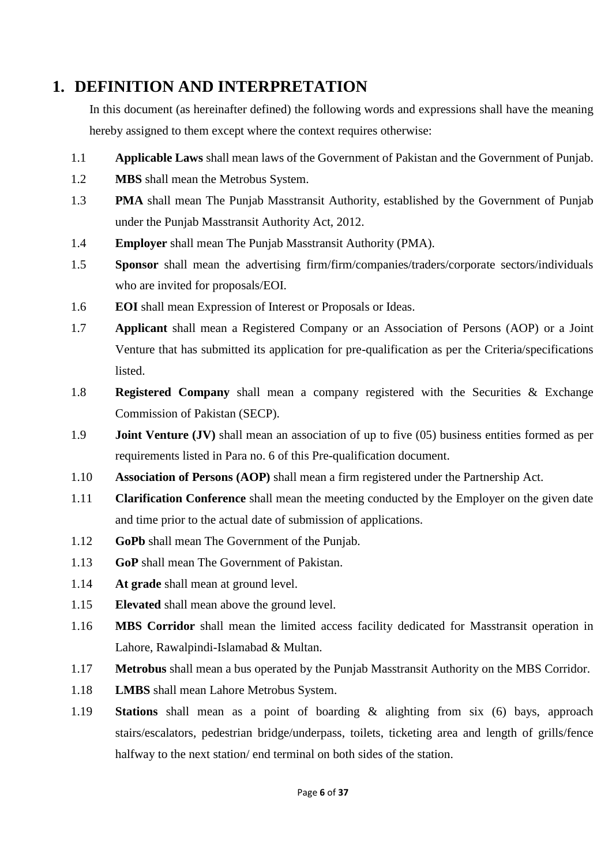## <span id="page-5-0"></span>**1. DEFINITION AND INTERPRETATION**

In this document (as hereinafter defined) the following words and expressions shall have the meaning hereby assigned to them except where the context requires otherwise:

- 1.1 **Applicable Laws** shall mean laws of the Government of Pakistan and the Government of Punjab.
- 1.2 **MBS** shall mean the Metrobus System.
- 1.3 **PMA** shall mean The Punjab Masstransit Authority, established by the Government of Punjab under the Punjab Masstransit Authority Act, 2012.
- 1.4 **Employer** shall mean The Punjab Masstransit Authority (PMA).
- 1.5 **Sponsor** shall mean the advertising firm/firm/companies/traders/corporate sectors/individuals who are invited for proposals/EOI.
- 1.6 **EOI** shall mean Expression of Interest or Proposals or Ideas.
- 1.7 **Applicant** shall mean a Registered Company or an Association of Persons (AOP) or a Joint Venture that has submitted its application for pre-qualification as per the Criteria/specifications listed.
- 1.8 **Registered Company** shall mean a company registered with the Securities & Exchange Commission of Pakistan (SECP).
- 1.9 **Joint Venture (JV)** shall mean an association of up to five (05) business entities formed as per requirements listed in Para no. 6 of this Pre-qualification document.
- 1.10 **Association of Persons (AOP)** shall mean a firm registered under the Partnership Act.
- 1.11 **Clarification Conference** shall mean the meeting conducted by the Employer on the given date and time prior to the actual date of submission of applications.
- 1.12 **GoPb** shall mean The Government of the Punjab.
- 1.13 **GoP** shall mean The Government of Pakistan.
- 1.14 **At grade** shall mean at ground level.
- 1.15 **Elevated** shall mean above the ground level.
- 1.16 **MBS Corridor** shall mean the limited access facility dedicated for Masstransit operation in Lahore, Rawalpindi-Islamabad & Multan.
- 1.17 **Metrobus** shall mean a bus operated by the Punjab Masstransit Authority on the MBS Corridor.
- 1.18 **LMBS** shall mean Lahore Metrobus System.
- 1.19 **Stations** shall mean as a point of boarding & alighting from six (6) bays, approach stairs/escalators, pedestrian bridge/underpass, toilets, ticketing area and length of grills/fence halfway to the next station/ end terminal on both sides of the station.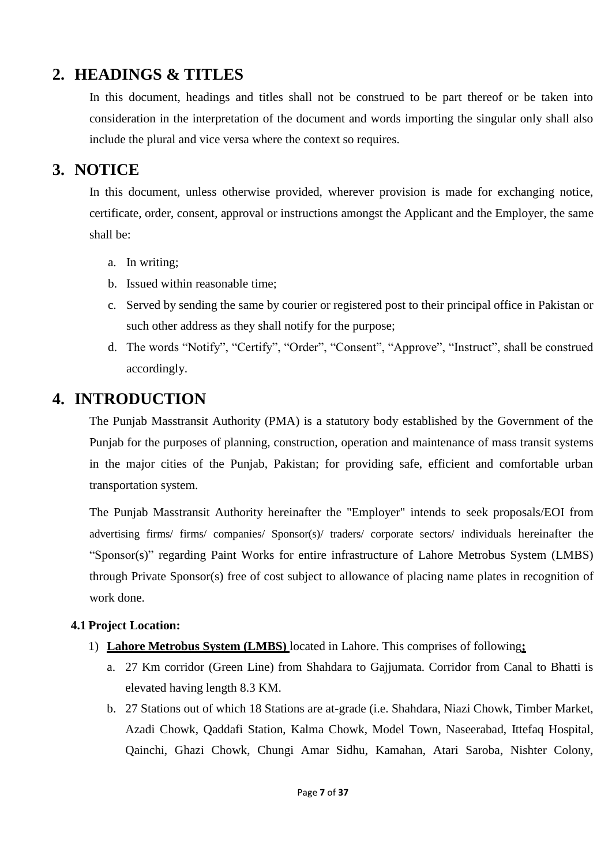## <span id="page-6-0"></span>**2. HEADINGS & TITLES**

In this document, headings and titles shall not be construed to be part thereof or be taken into consideration in the interpretation of the document and words importing the singular only shall also include the plural and vice versa where the context so requires.

### <span id="page-6-1"></span>**3. NOTICE**

In this document, unless otherwise provided, wherever provision is made for exchanging notice, certificate, order, consent, approval or instructions amongst the Applicant and the Employer, the same shall be:

- a. In writing;
- b. Issued within reasonable time;
- c. Served by sending the same by courier or registered post to their principal office in Pakistan or such other address as they shall notify for the purpose;
- d. The words "Notify", "Certify", "Order", "Consent", "Approve", "Instruct", shall be construed accordingly.

### <span id="page-6-2"></span>**4. INTRODUCTION**

The Punjab Masstransit Authority (PMA) is a statutory body established by the Government of the Punjab for the purposes of planning, construction, operation and maintenance of mass transit systems in the major cities of the Punjab, Pakistan; for providing safe, efficient and comfortable urban transportation system.

The Punjab Masstransit Authority hereinafter the "Employer" intends to seek proposals/EOI from advertising firms/ firms/ companies/ Sponsor(s)/ traders/ corporate sectors/ individuals hereinafter the "Sponsor(s)" regarding Paint Works for entire infrastructure of Lahore Metrobus System (LMBS) through Private Sponsor(s) free of cost subject to allowance of placing name plates in recognition of work done.

#### **4.1 Project Location:**

- 1) **Lahore Metrobus System (LMBS)** located in Lahore. This comprises of following**;**
	- a. 27 Km corridor (Green Line) from Shahdara to Gajjumata. Corridor from Canal to Bhatti is elevated having length 8.3 KM.
	- b. 27 Stations out of which 18 Stations are at-grade (i.e. Shahdara, Niazi Chowk, Timber Market, Azadi Chowk, Qaddafi Station, Kalma Chowk, Model Town, Naseerabad, Ittefaq Hospital, Qainchi, Ghazi Chowk, Chungi Amar Sidhu, Kamahan, Atari Saroba, Nishter Colony,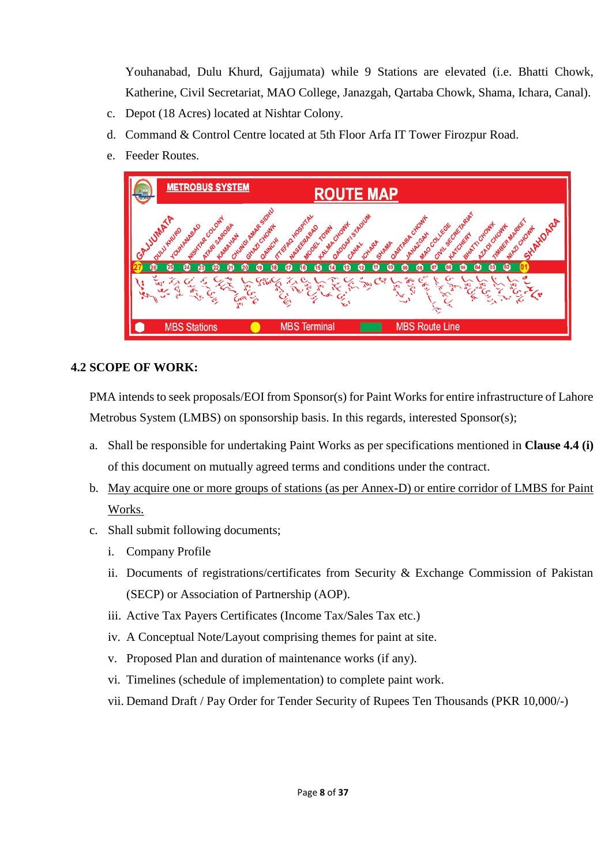Youhanabad, Dulu Khurd, Gajjumata) while 9 Stations are elevated (i.e. Bhatti Chowk, Katherine, Civil Secretariat, MAO College, Janazgah, Qartaba Chowk, Shama, Ichara, Canal).

- c. Depot (18 Acres) located at Nishtar Colony.
- d. Command & Control Centre located at 5th Floor Arfa IT Tower Firozpur Road.
- e. Feeder Routes.



#### <span id="page-7-0"></span>**4.2 SCOPE OF WORK:**

PMA intends to seek proposals/EOI from Sponsor(s) for Paint Works for entire infrastructure of Lahore Metrobus System (LMBS) on sponsorship basis. In this regards, interested Sponsor(s);

- a. Shall be responsible for undertaking Paint Works as per specifications mentioned in **Clause 4.4 (i)**  of this document on mutually agreed terms and conditions under the contract.
- b. May acquire one or more groups of stations (as per Annex-D) or entire corridor of LMBS for Paint Works.
- c. Shall submit following documents;
	- i. Company Profile
	- ii. Documents of registrations/certificates from Security & Exchange Commission of Pakistan (SECP) or Association of Partnership (AOP).
	- iii. Active Tax Payers Certificates (Income Tax/Sales Tax etc.)
	- iv. A Conceptual Note/Layout comprising themes for paint at site.
	- v. Proposed Plan and duration of maintenance works (if any).
	- vi. Timelines (schedule of implementation) to complete paint work.
	- vii. Demand Draft / Pay Order for Tender Security of Rupees Ten Thousands (PKR 10,000/-)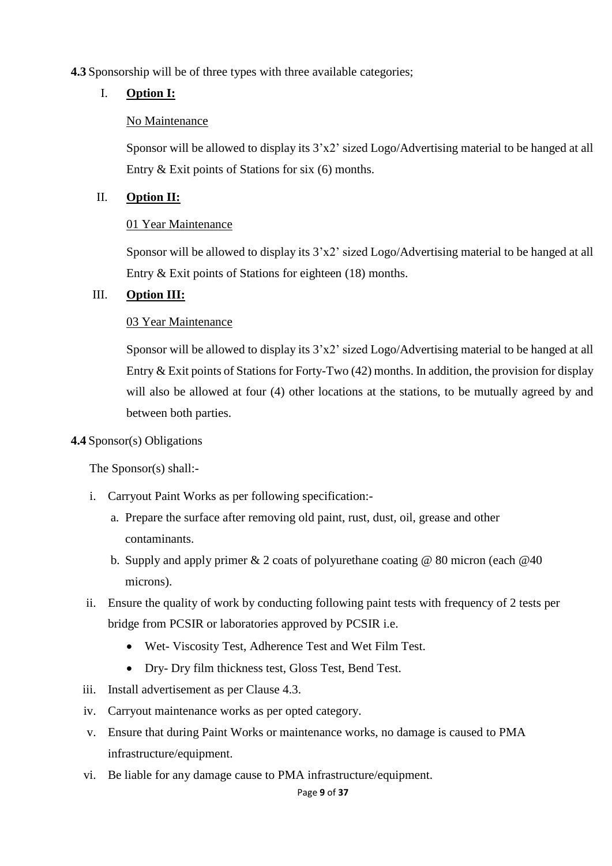#### **4.3** Sponsorship will be of three types with three available categories;

#### I. **Option I:**

#### No Maintenance

Sponsor will be allowed to display its 3'x2' sized Logo/Advertising material to be hanged at all Entry & Exit points of Stations for six (6) months.

#### II. **Option II:**

#### 01 Year Maintenance

Sponsor will be allowed to display its 3'x2' sized Logo/Advertising material to be hanged at all Entry & Exit points of Stations for eighteen (18) months.

#### III. **Option III:**

#### 03 Year Maintenance

Sponsor will be allowed to display its 3'x2' sized Logo/Advertising material to be hanged at all Entry & Exit points of Stations for Forty-Two (42) months. In addition, the provision for display will also be allowed at four  $(4)$  other locations at the stations, to be mutually agreed by and between both parties.

#### **4.4** Sponsor(s) Obligations

The Sponsor(s) shall:-

- i. Carryout Paint Works as per following specification:
	- a. Prepare the surface after removing old paint, rust, dust, oil, grease and other contaminants.
	- b. Supply and apply primer  $& 2$  coats of polyurethane coating  $& 80$  micron (each  $& 40$ microns).
- ii. Ensure the quality of work by conducting following paint tests with frequency of 2 tests per bridge from PCSIR or laboratories approved by PCSIR i.e.
	- Wet- Viscosity Test, Adherence Test and Wet Film Test.
	- Dry- Dry film thickness test, Gloss Test, Bend Test.
- iii. Install advertisement as per Clause 4.3.
- iv. Carryout maintenance works as per opted category.
- v. Ensure that during Paint Works or maintenance works, no damage is caused to PMA infrastructure/equipment.
- vi. Be liable for any damage cause to PMA infrastructure/equipment.

#### Page **9** of **37**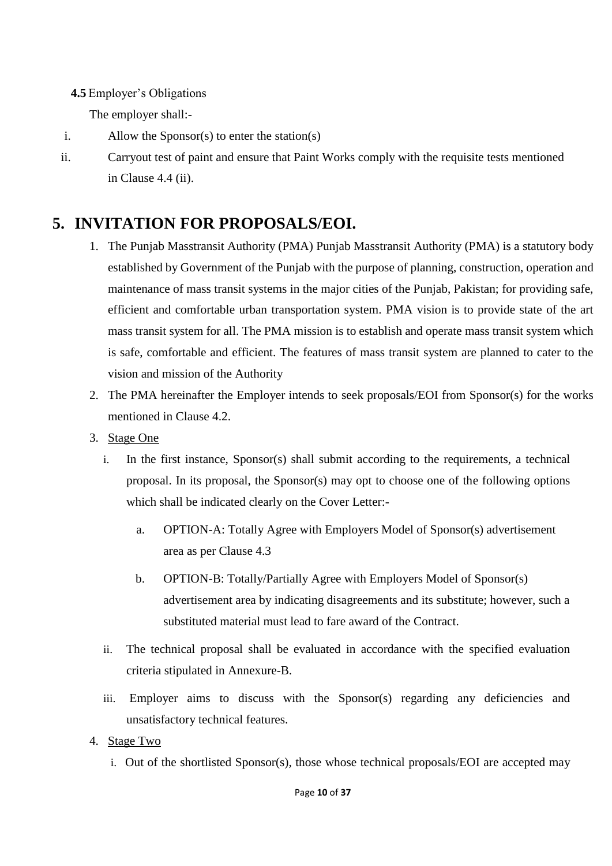#### **4.5** Employer's Obligations

The employer shall:-

- i. Allow the Sponsor(s) to enter the station(s)
- ii. Carryout test of paint and ensure that Paint Works comply with the requisite tests mentioned in Clause 4.4 (ii).

## <span id="page-9-0"></span>**5. INVITATION FOR PROPOSALS/EOI.**

- 1. The Punjab Masstransit Authority (PMA) Punjab Masstransit Authority (PMA) is a statutory body established by Government of the Punjab with the purpose of planning, construction, operation and maintenance of mass transit systems in the major cities of the Punjab, Pakistan; for providing safe, efficient and comfortable urban transportation system. PMA vision is to provide state of the art mass transit system for all. The PMA mission is to establish and operate mass transit system which is safe, comfortable and efficient. The features of mass transit system are planned to cater to the vision and mission of the Authority
- 2. The PMA hereinafter the Employer intends to seek proposals/EOI from Sponsor(s) for the works mentioned in Clause [4.2.](#page-7-0)
- 3. Stage One
	- i. In the first instance, Sponsor(s) shall submit according to the requirements, a technical proposal. In its proposal, the Sponsor(s) may opt to choose one of the following options which shall be indicated clearly on the Cover Letter:
		- a. OPTION-A: Totally Agree with Employers Model of Sponsor(s) advertisement area as per Clause 4.3
		- b. OPTION-B: Totally/Partially Agree with Employers Model of Sponsor(s) advertisement area by indicating disagreements and its substitute; however, such a substituted material must lead to fare award of the Contract.
	- ii. The technical proposal shall be evaluated in accordance with the specified evaluation criteria stipulated in Annexure-B.
	- iii. Employer aims to discuss with the Sponsor(s) regarding any deficiencies and unsatisfactory technical features.
- 4. Stage Two
	- i. Out of the shortlisted Sponsor(s), those whose technical proposals/EOI are accepted may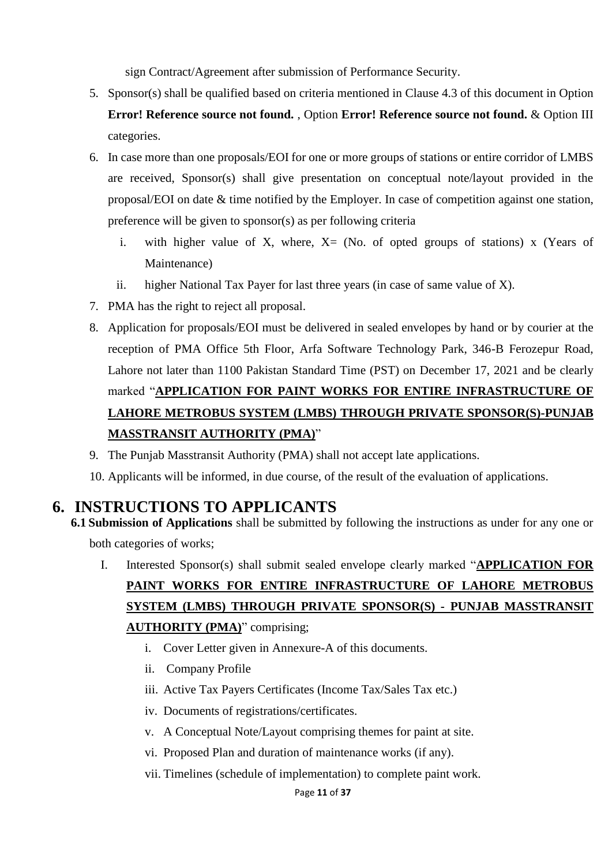sign Contract/Agreement after submission of Performance Security.

- 5. Sponsor(s) shall be qualified based on criteria mentioned in Clause 4.3 of this document in Option **Error! Reference source not found.** , Option **Error! Reference source not found.** & Option III categories.
- 6. In case more than one proposals/EOI for one or more groups of stations or entire corridor of LMBS are received, Sponsor(s) shall give presentation on conceptual note/layout provided in the proposal/EOI on date & time notified by the Employer. In case of competition against one station, preference will be given to sponsor(s) as per following criteria
	- i. with higher value of X, where,  $X = (No. of *opted* groups of *stations*)$  x (Years of Maintenance)
	- ii. higher National Tax Payer for last three years (in case of same value of X).
- 7. PMA has the right to reject all proposal.
- 8. Application for proposals/EOI must be delivered in sealed envelopes by hand or by courier at the reception of PMA Office 5th Floor, Arfa Software Technology Park, 346-B Ferozepur Road, Lahore not later than 1100 Pakistan Standard Time (PST) on December 17, 2021 and be clearly marked "**APPLICATION FOR PAINT WORKS FOR ENTIRE INFRASTRUCTURE OF LAHORE METROBUS SYSTEM (LMBS) THROUGH PRIVATE SPONSOR(S)-PUNJAB MASSTRANSIT AUTHORITY (PMA)**"
- 9. The Punjab Masstransit Authority (PMA) shall not accept late applications.
- 10. Applicants will be informed, in due course, of the result of the evaluation of applications.

### <span id="page-10-0"></span>**6. INSTRUCTIONS TO APPLICANTS**

- **6.1 Submission of Applications** shall be submitted by following the instructions as under for any one or both categories of works;
	- I. Interested Sponsor(s) shall submit sealed envelope clearly marked "**APPLICATION FOR PAINT WORKS FOR ENTIRE INFRASTRUCTURE OF LAHORE METROBUS SYSTEM (LMBS) THROUGH PRIVATE SPONSOR(S) - PUNJAB MASSTRANSIT AUTHORITY (PMA)**" comprising;
		- i. Cover Letter given in Annexure-A of this documents.
		- ii. Company Profile
		- iii. Active Tax Payers Certificates (Income Tax/Sales Tax etc.)
		- iv. Documents of registrations/certificates.
		- v. A Conceptual Note/Layout comprising themes for paint at site.
		- vi. Proposed Plan and duration of maintenance works (if any).
		- vii. Timelines (schedule of implementation) to complete paint work.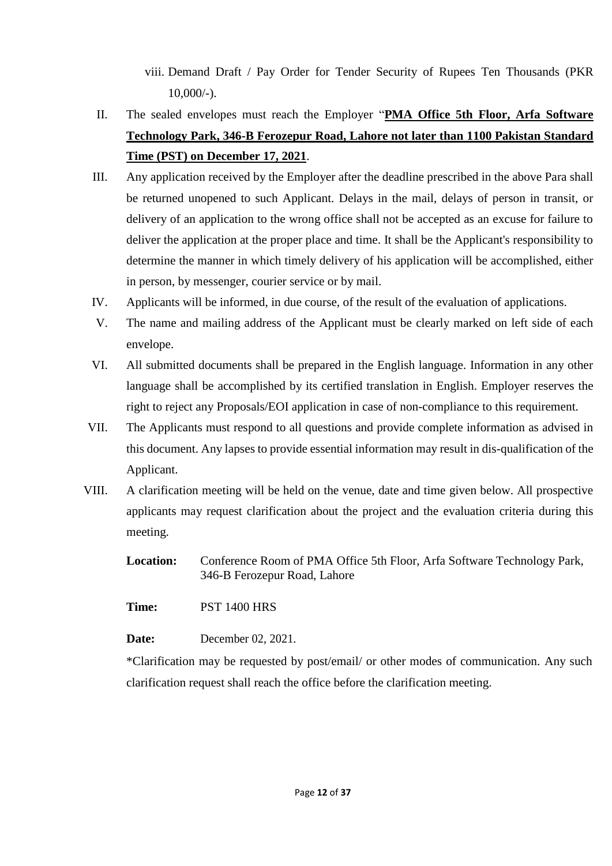viii. Demand Draft / Pay Order for Tender Security of Rupees Ten Thousands (PKR  $10,000/-$ ).

- II. The sealed envelopes must reach the Employer "**PMA Office 5th Floor, Arfa Software Technology Park, 346-B Ferozepur Road, Lahore not later than 1100 Pakistan Standard Time (PST) on December 17, 2021**.
- III. Any application received by the Employer after the deadline prescribed in the above Para shall be returned unopened to such Applicant. Delays in the mail, delays of person in transit, or delivery of an application to the wrong office shall not be accepted as an excuse for failure to deliver the application at the proper place and time. It shall be the Applicant's responsibility to determine the manner in which timely delivery of his application will be accomplished, either in person, by messenger, courier service or by mail.
- IV. Applicants will be informed, in due course, of the result of the evaluation of applications.
- V. The name and mailing address of the Applicant must be clearly marked on left side of each envelope.
- VI. All submitted documents shall be prepared in the English language. Information in any other language shall be accomplished by its certified translation in English. Employer reserves the right to reject any Proposals/EOI application in case of non-compliance to this requirement.
- VII. The Applicants must respond to all questions and provide complete information as advised in this document. Any lapses to provide essential information may result in dis-qualification of the Applicant.
- VIII. A clarification meeting will be held on the venue, date and time given below. All prospective applicants may request clarification about the project and the evaluation criteria during this meeting.

**Location:** Conference Room of PMA Office 5th Floor, Arfa Software Technology Park, 346-B Ferozepur Road, Lahore

**Time:** PST 1400 HRS

**Date:** December 02, 2021.

\*Clarification may be requested by post/email/ or other modes of communication. Any such clarification request shall reach the office before the clarification meeting.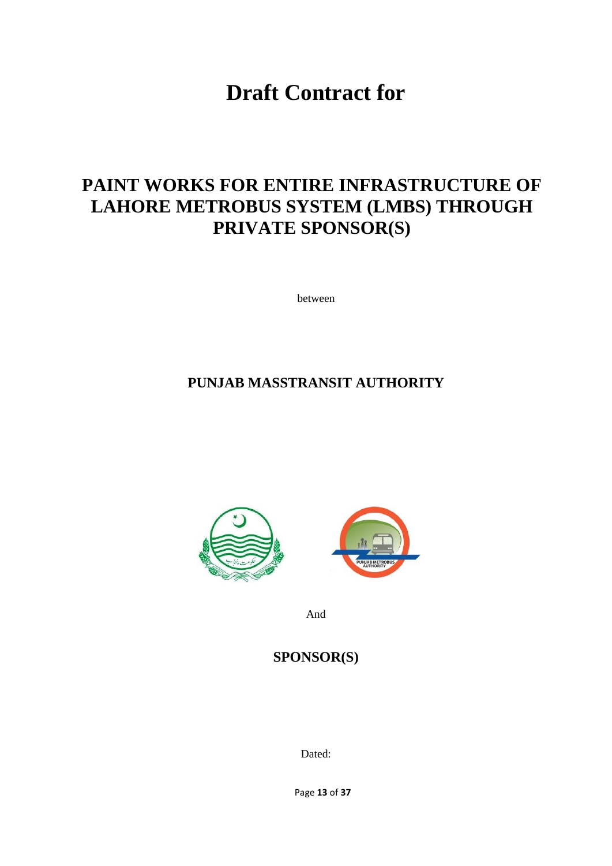**Draft Contract for**

# **PAINT WORKS FOR ENTIRE INFRASTRUCTURE OF LAHORE METROBUS SYSTEM (LMBS) THROUGH PRIVATE SPONSOR(S)**

between

### **PUNJAB MASSTRANSIT AUTHORITY**





And

#### **SPONSOR(S)**

Dated:

Page **13** of **37**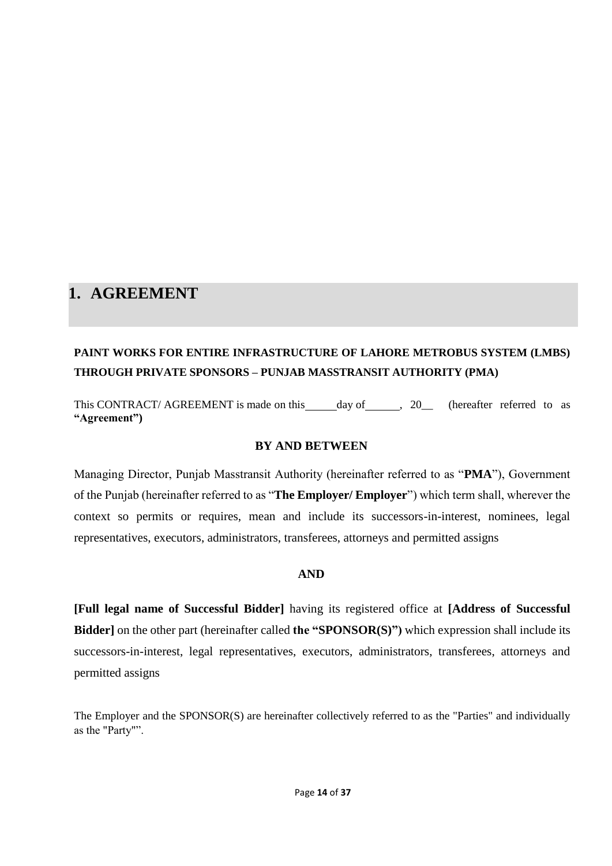### **1. AGREEMENT**

### **PAINT WORKS FOR ENTIRE INFRASTRUCTURE OF LAHORE METROBUS SYSTEM (LMBS) THROUGH PRIVATE SPONSORS – PUNJAB MASSTRANSIT AUTHORITY (PMA)**

This CONTRACT/ AGREEMENT is made on this day of , 20\_ (hereafter referred to as **"Agreement")**

#### **BY AND BETWEEN**

Managing Director, Punjab Masstransit Authority (hereinafter referred to as "**PMA**"), Government of the Punjab (hereinafter referred to as "**The Employer/ Employer**") which term shall, wherever the context so permits or requires, mean and include its successors-in-interest, nominees, legal representatives, executors, administrators, transferees, attorneys and permitted assigns

#### **AND**

**[Full legal name of Successful Bidder]** having its registered office at **[Address of Successful Bidder]** on the other part (hereinafter called **the "SPONSOR(S)")** which expression shall include its successors-in-interest, legal representatives, executors, administrators, transferees, attorneys and permitted assigns

The Employer and the SPONSOR(S) are hereinafter collectively referred to as the "Parties" and individually as the "Party"".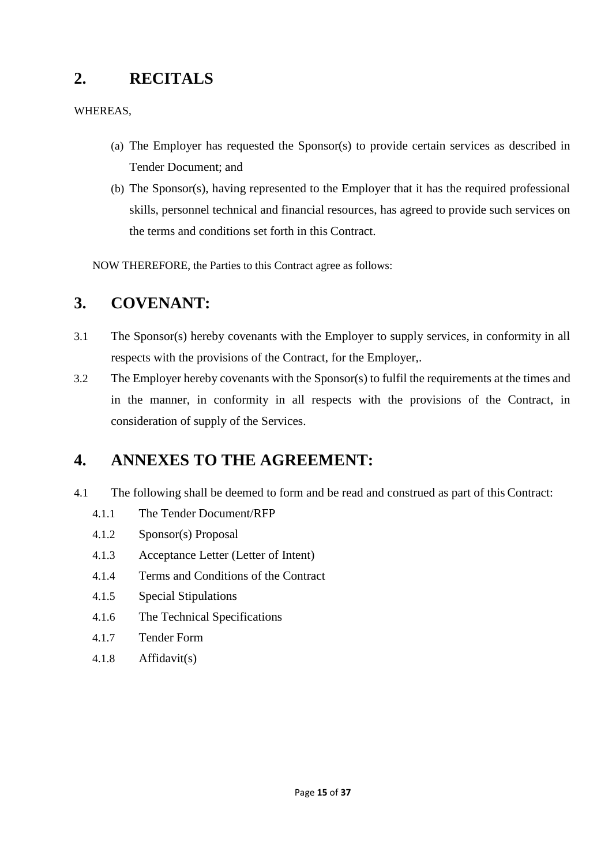## <span id="page-14-0"></span>**2. RECITALS**

#### WHEREAS,

- (a) The Employer has requested the Sponsor(s) to provide certain services as described in Tender Document; and
- (b) The Sponsor(s), having represented to the Employer that it has the required professional skills, personnel technical and financial resources, has agreed to provide such services on the terms and conditions set forth in this Contract.

NOW THEREFORE, the Parties to this Contract agree as follows:

# <span id="page-14-1"></span>**3. COVENANT:**

- 3.1 The Sponsor(s) hereby covenants with the Employer to supply services, in conformity in all respects with the provisions of the Contract, for the Employer,.
- 3.2 The Employer hereby covenants with the Sponsor(s) to fulfil the requirements at the times and in the manner, in conformity in all respects with the provisions of the Contract, in consideration of supply of the Services.

### <span id="page-14-2"></span>**4. ANNEXES TO THE AGREEMENT:**

- 4.1 The following shall be deemed to form and be read and construed as part of this Contract:
	- 4.1.1 The Tender Document/RFP
	- 4.1.2 Sponsor(s) Proposal
	- 4.1.3 Acceptance Letter (Letter of Intent)
	- 4.1.4 Terms and Conditions of the Contract
	- 4.1.5 Special Stipulations
	- 4.1.6 The Technical Specifications
	- 4.1.7 Tender Form
	- 4.1.8 Affidavit(s)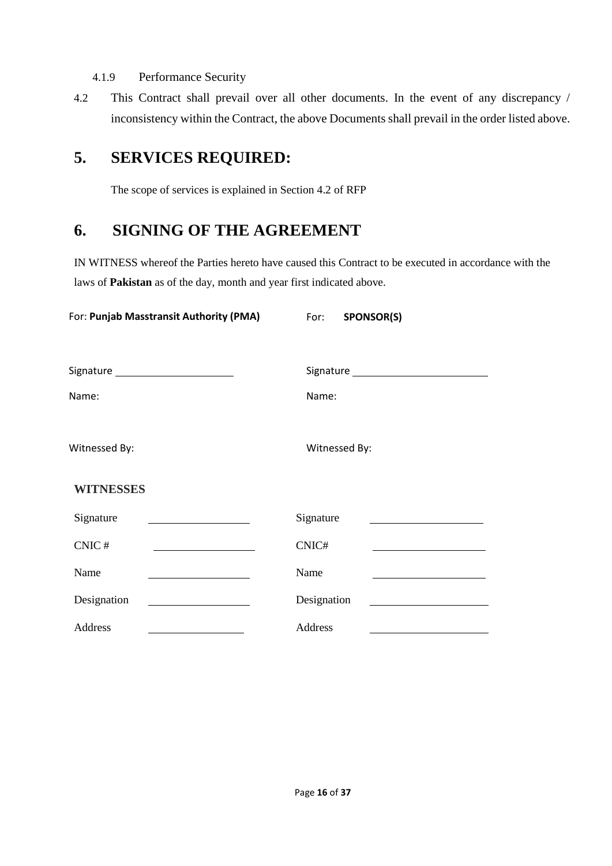#### 4.1.9 Performance Security

4.2 This Contract shall prevail over all other documents. In the event of any discrepancy / inconsistency within the Contract, the above Documents shall prevail in the order listed above.

# <span id="page-15-0"></span>**5. SERVICES REQUIRED:**

The scope of services is explained in Section 4.2 of RFP

## <span id="page-15-1"></span>**6. SIGNING OF THE AGREEMENT**

IN WITNESS whereof the Parties hereto have caused this Contract to be executed in accordance with the laws of **Pakistan** as of the day, month and year first indicated above.

| For: Punjab Masstransit Authority (PMA)                                                                                            | For: SPONSOR(S)                                                                         |
|------------------------------------------------------------------------------------------------------------------------------------|-----------------------------------------------------------------------------------------|
| Signature __________________________                                                                                               |                                                                                         |
| Name:                                                                                                                              | Name:                                                                                   |
| Witnessed By:                                                                                                                      | Witnessed By:                                                                           |
| <b>WITNESSES</b>                                                                                                                   |                                                                                         |
| Signature<br><u> 1989 - Johann Barn, mars ann an t-Amhain Aonaich an t-Aonaich an t-Aonaich an t-Aonaich an t-Aonaich an t-Aon</u> | Signature<br>the control of the control of the control of the control of the control of |
| CNIC#                                                                                                                              | CNIC#                                                                                   |
| Name                                                                                                                               | Name                                                                                    |
| Designation                                                                                                                        | Designation                                                                             |
| Address                                                                                                                            | Address                                                                                 |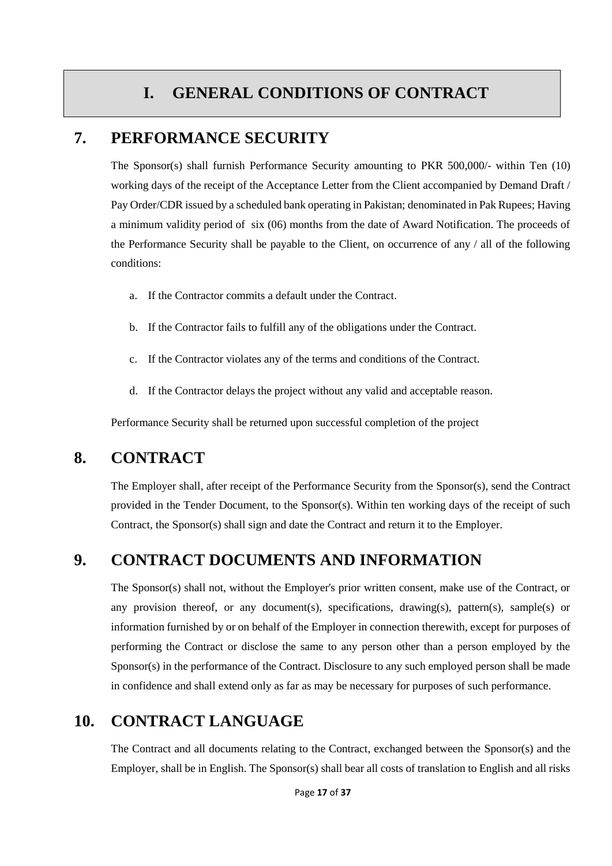# **I. GENERAL CONDITIONS OF CONTRACT**

#### <span id="page-16-0"></span>**7. PERFORMANCE SECURITY**

The Sponsor(s) shall furnish Performance Security amounting to PKR 500,000/- within Ten (10) working days of the receipt of the Acceptance Letter from the Client accompanied by Demand Draft / Pay Order/CDR issued by a scheduled bank operating in Pakistan; denominated in Pak Rupees; Having a minimum validity period of six (06) months from the date of Award Notification. The proceeds of the Performance Security shall be payable to the Client, on occurrence of any / all of the following conditions:

- a. If the Contractor commits a default under the Contract.
- b. If the Contractor fails to fulfill any of the obligations under the Contract.
- c. If the Contractor violates any of the terms and conditions of the Contract.
- d. If the Contractor delays the project without any valid and acceptable reason.

Performance Security shall be returned upon successful completion of the project

#### <span id="page-16-1"></span>**8. CONTRACT**

The Employer shall, after receipt of the Performance Security from the Sponsor(s), send the Contract provided in the Tender Document, to the Sponsor(s). Within ten working days of the receipt of such Contract, the Sponsor(s) shall sign and date the Contract and return it to the Employer.

#### <span id="page-16-2"></span>**9. CONTRACT DOCUMENTS AND INFORMATION**

The Sponsor(s) shall not, without the Employer's prior written consent, make use of the Contract, or any provision thereof, or any document(s), specifications, drawing(s), pattern(s), sample(s) or information furnished by or on behalf of the Employer in connection therewith, except for purposes of performing the Contract or disclose the same to any person other than a person employed by the Sponsor(s) in the performance of the Contract. Disclosure to any such employed person shall be made in confidence and shall extend only as far as may be necessary for purposes of such performance.

### <span id="page-16-3"></span>**10. CONTRACT LANGUAGE**

The Contract and all documents relating to the Contract, exchanged between the Sponsor(s) and the Employer, shall be in English. The Sponsor(s) shall bear all costs of translation to English and all risks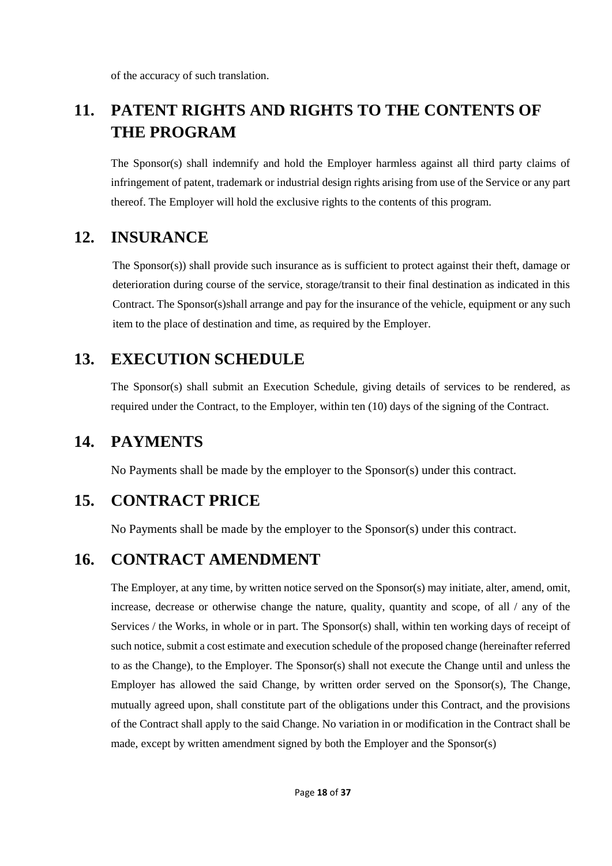of the accuracy of such translation.

# <span id="page-17-0"></span>**11. PATENT RIGHTS AND RIGHTS TO THE CONTENTS OF THE PROGRAM**

The Sponsor(s) shall indemnify and hold the Employer harmless against all third party claims of infringement of patent, trademark or industrial design rights arising from use of the Service or any part thereof. The Employer will hold the exclusive rights to the contents of this program.

### <span id="page-17-1"></span>**12. INSURANCE**

The Sponsor(s)) shall provide such insurance as is sufficient to protect against their theft, damage or deterioration during course of the service, storage/transit to their final destination as indicated in this Contract. The Sponsor(s)shall arrange and pay for the insurance of the vehicle, equipment or any such item to the place of destination and time, as required by the Employer.

# <span id="page-17-2"></span>**13. EXECUTION SCHEDULE**

The Sponsor(s) shall submit an Execution Schedule, giving details of services to be rendered, as required under the Contract, to the Employer, within ten (10) days of the signing of the Contract.

### <span id="page-17-3"></span>**14. PAYMENTS**

No Payments shall be made by the employer to the Sponsor(s) under this contract.

# <span id="page-17-4"></span>**15. CONTRACT PRICE**

No Payments shall be made by the employer to the Sponsor(s) under this contract.

## <span id="page-17-5"></span>**16. CONTRACT AMENDMENT**

The Employer, at any time, by written notice served on the Sponsor(s) may initiate, alter, amend, omit, increase, decrease or otherwise change the nature, quality, quantity and scope, of all / any of the Services / the Works, in whole or in part. The Sponsor(s) shall, within ten working days of receipt of such notice, submit a cost estimate and execution schedule of the proposed change (hereinafter referred to as the Change), to the Employer. The Sponsor(s) shall not execute the Change until and unless the Employer has allowed the said Change, by written order served on the Sponsor(s), The Change, mutually agreed upon, shall constitute part of the obligations under this Contract, and the provisions of the Contract shall apply to the said Change. No variation in or modification in the Contract shall be made, except by written amendment signed by both the Employer and the Sponsor(s)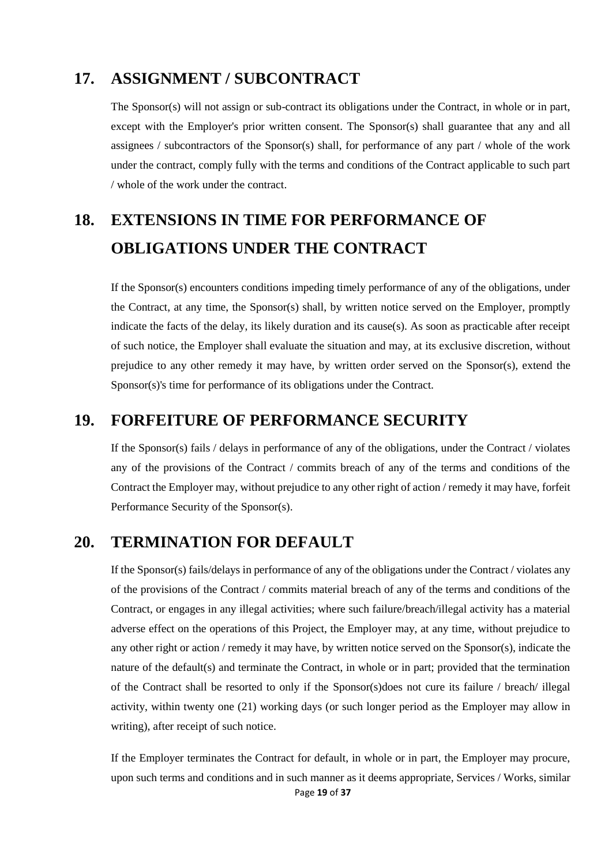### <span id="page-18-0"></span>**17. ASSIGNMENT / SUBCONTRACT**

The Sponsor(s) will not assign or sub-contract its obligations under the Contract, in whole or in part, except with the Employer's prior written consent. The Sponsor(s) shall guarantee that any and all assignees / subcontractors of the Sponsor(s) shall, for performance of any part / whole of the work under the contract, comply fully with the terms and conditions of the Contract applicable to such part / whole of the work under the contract.

# <span id="page-18-1"></span>**18. EXTENSIONS IN TIME FOR PERFORMANCE OF OBLIGATIONS UNDER THE CONTRACT**

If the Sponsor(s) encounters conditions impeding timely performance of any of the obligations, under the Contract, at any time, the Sponsor(s) shall, by written notice served on the Employer, promptly indicate the facts of the delay, its likely duration and its cause(s). As soon as practicable after receipt of such notice, the Employer shall evaluate the situation and may, at its exclusive discretion, without prejudice to any other remedy it may have, by written order served on the Sponsor(s), extend the Sponsor(s)'s time for performance of its obligations under the Contract.

#### <span id="page-18-2"></span>**19. FORFEITURE OF PERFORMANCE SECURITY**

If the Sponsor(s) fails / delays in performance of any of the obligations, under the Contract / violates any of the provisions of the Contract / commits breach of any of the terms and conditions of the Contract the Employer may, without prejudice to any other right of action / remedy it may have, forfeit Performance Security of the Sponsor(s).

### <span id="page-18-3"></span>**20. TERMINATION FOR DEFAULT**

If the Sponsor(s) fails/delays in performance of any of the obligations under the Contract / violates any of the provisions of the Contract / commits material breach of any of the terms and conditions of the Contract, or engages in any illegal activities; where such failure/breach/illegal activity has a material adverse effect on the operations of this Project, the Employer may, at any time, without prejudice to any other right or action / remedy it may have, by written notice served on the Sponsor(s), indicate the nature of the default(s) and terminate the Contract, in whole or in part; provided that the termination of the Contract shall be resorted to only if the Sponsor(s)does not cure its failure / breach/ illegal activity, within twenty one (21) working days (or such longer period as the Employer may allow in writing), after receipt of such notice.

Page **19** of **37** If the Employer terminates the Contract for default, in whole or in part, the Employer may procure, upon such terms and conditions and in such manner as it deems appropriate, Services / Works, similar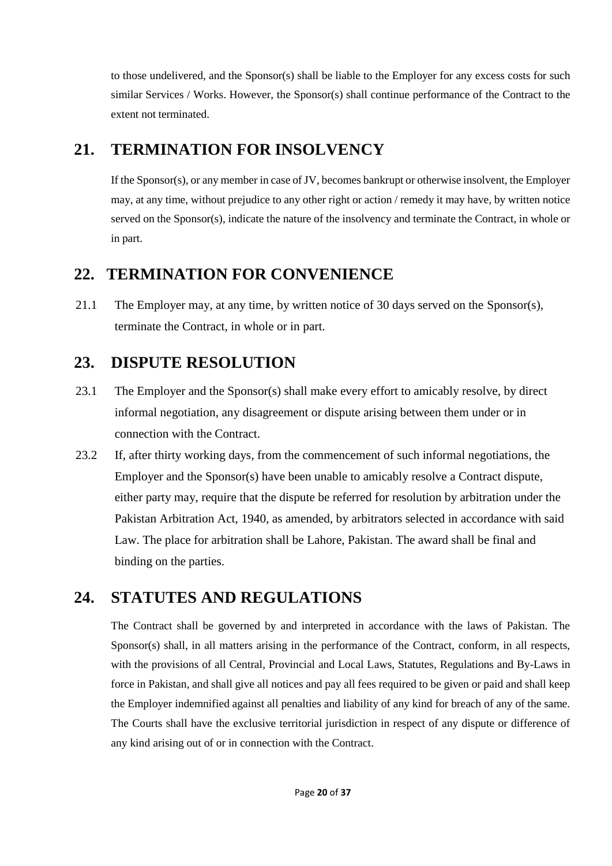to those undelivered, and the Sponsor(s) shall be liable to the Employer for any excess costs for such similar Services / Works. However, the Sponsor(s) shall continue performance of the Contract to the extent not terminated.

## <span id="page-19-0"></span>**21. TERMINATION FOR INSOLVENCY**

If the Sponsor(s), or any member in case of JV, becomes bankrupt or otherwise insolvent, the Employer may, at any time, without prejudice to any other right or action / remedy it may have, by written notice served on the Sponsor(s), indicate the nature of the insolvency and terminate the Contract, in whole or in part.

# <span id="page-19-1"></span>**22. TERMINATION FOR CONVENIENCE**

21.1 The Employer may, at any time, by written notice of 30 days served on the Sponsor(s), terminate the Contract, in whole or in part.

# <span id="page-19-2"></span>**23. DISPUTE RESOLUTION**

- 23.1 The Employer and the Sponsor(s) shall make every effort to amicably resolve, by direct informal negotiation, any disagreement or dispute arising between them under or in connection with the Contract.
- 23.2 If, after thirty working days, from the commencement of such informal negotiations, the Employer and the Sponsor(s) have been unable to amicably resolve a Contract dispute, either party may, require that the dispute be referred for resolution by arbitration under the Pakistan Arbitration Act, 1940, as amended, by arbitrators selected in accordance with said Law. The place for arbitration shall be Lahore, Pakistan. The award shall be final and binding on the parties.

# <span id="page-19-3"></span>**24. STATUTES AND REGULATIONS**

The Contract shall be governed by and interpreted in accordance with the laws of Pakistan. The Sponsor(s) shall, in all matters arising in the performance of the Contract, conform, in all respects, with the provisions of all Central, Provincial and Local Laws, Statutes, Regulations and By-Laws in force in Pakistan, and shall give all notices and pay all fees required to be given or paid and shall keep the Employer indemnified against all penalties and liability of any kind for breach of any of the same. The Courts shall have the exclusive territorial jurisdiction in respect of any dispute or difference of any kind arising out of or in connection with the Contract.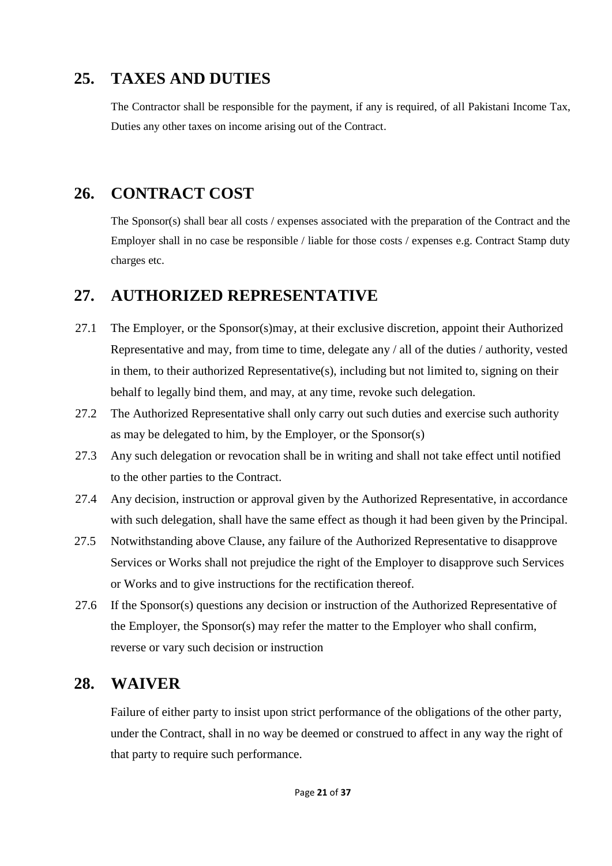## <span id="page-20-0"></span>**25. TAXES AND DUTIES**

The Contractor shall be responsible for the payment, if any is required, of all Pakistani Income Tax, Duties any other taxes on income arising out of the Contract.

# <span id="page-20-1"></span>**26. CONTRACT COST**

The Sponsor(s) shall bear all costs / expenses associated with the preparation of the Contract and the Employer shall in no case be responsible / liable for those costs / expenses e.g. Contract Stamp duty charges etc.

### <span id="page-20-2"></span>**27. AUTHORIZED REPRESENTATIVE**

- 27.1 The Employer, or the Sponsor(s)may, at their exclusive discretion, appoint their Authorized Representative and may, from time to time, delegate any / all of the duties / authority, vested in them, to their authorized Representative(s), including but not limited to, signing on their behalf to legally bind them, and may, at any time, revoke such delegation.
- 27.2 The Authorized Representative shall only carry out such duties and exercise such authority as may be delegated to him, by the Employer, or the Sponsor(s)
- 27.3 Any such delegation or revocation shall be in writing and shall not take effect until notified to the other parties to the Contract.
- 27.4 Any decision, instruction or approval given by the Authorized Representative, in accordance with such delegation, shall have the same effect as though it had been given by the Principal.
- 27.5 Notwithstanding above Clause, any failure of the Authorized Representative to disapprove Services or Works shall not prejudice the right of the Employer to disapprove such Services or Works and to give instructions for the rectification thereof.
- 27.6 If the Sponsor(s) questions any decision or instruction of the Authorized Representative of the Employer, the Sponsor(s) may refer the matter to the Employer who shall confirm, reverse or vary such decision or instruction

### <span id="page-20-3"></span>**28. WAIVER**

Failure of either party to insist upon strict performance of the obligations of the other party, under the Contract, shall in no way be deemed or construed to affect in any way the right of that party to require such performance.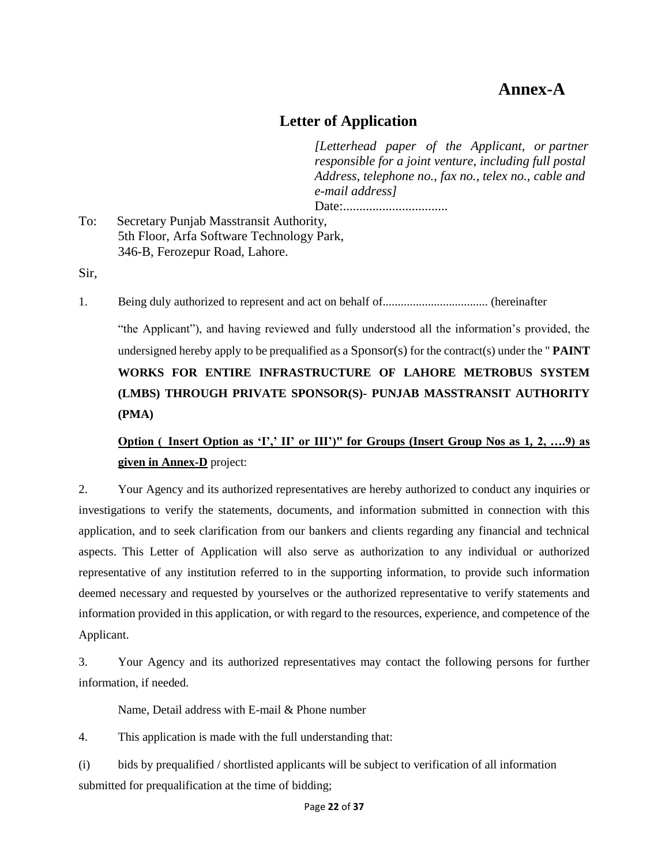# **Annex-A**

#### **Letter of Application**

*[Letterhead paper of the Applicant, or partner responsible for a joint venture, including full postal Address, telephone no., fax no., telex no., cable and e-mail address]*

Date:................................

<span id="page-21-0"></span>To: Secretary Punjab Masstransit Authority, 5th Floor, Arfa Software Technology Park, 346-B, Ferozepur Road, Lahore.

Sir,

1. Being duly authorized to represent and act on behalf of................................... (hereinafter

"the Applicant"), and having reviewed and fully understood all the information's provided, the undersigned hereby apply to be prequalified as a Sponsor(s) for the contract(s) under the " **PAINT WORKS FOR ENTIRE INFRASTRUCTURE OF LAHORE METROBUS SYSTEM (LMBS) THROUGH PRIVATE SPONSOR(S)- PUNJAB MASSTRANSIT AUTHORITY (PMA)**

### **Option (\_Insert Option as 'I',' II' or III')" for Groups (Insert Group Nos as 1, 2, ….9) as given in Annex-D** project:

2. Your Agency and its authorized representatives are hereby authorized to conduct any inquiries or investigations to verify the statements, documents, and information submitted in connection with this application, and to seek clarification from our bankers and clients regarding any financial and technical aspects. This Letter of Application will also serve as authorization to any individual or authorized representative of any institution referred to in the supporting information, to provide such information deemed necessary and requested by yourselves or the authorized representative to verify statements and information provided in this application, or with regard to the resources, experience, and competence of the Applicant.

3. Your Agency and its authorized representatives may contact the following persons for further information, if needed.

Name, Detail address with E-mail & Phone number

4. This application is made with the full understanding that:

(i) bids by prequalified / shortlisted applicants will be subject to verification of all information submitted for prequalification at the time of bidding;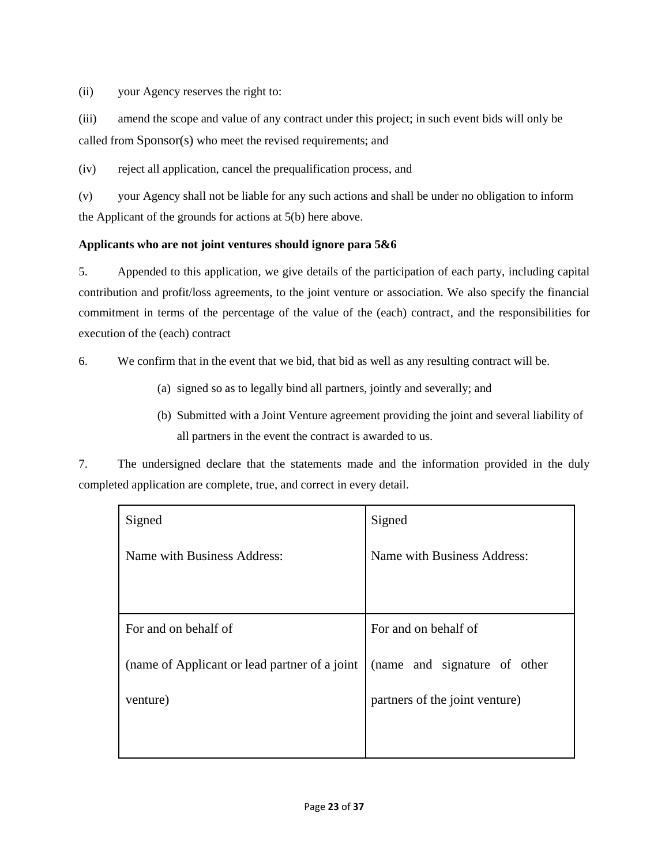(ii) your Agency reserves the right to:

(iii) amend the scope and value of any contract under this project; in such event bids will only be called from Sponsor(s) who meet the revised requirements; and

(iv) reject all application, cancel the prequalification process, and

(v) your Agency shall not be liable for any such actions and shall be under no obligation to inform the Applicant of the grounds for actions at 5(b) here above.

#### **Applicants who are not joint ventures should ignore para 5&6**

5. Appended to this application, we give details of the participation of each party, including capital contribution and profit/loss agreements, to the joint venture or association. We also specify the financial commitment in terms of the percentage of the value of the (each) contract, and the responsibilities for execution of the (each) contract

6. We confirm that in the event that we bid, that bid as well as any resulting contract will be.

- (a) signed so as to legally bind all partners, jointly and severally; and
- (b) Submitted with a Joint Venture agreement providing the joint and several liability of all partners in the event the contract is awarded to us.

7. The undersigned declare that the statements made and the information provided in the duly completed application are complete, true, and correct in every detail.

| Signed                                        | Signed                         |
|-----------------------------------------------|--------------------------------|
| Name with Business Address:                   | Name with Business Address:    |
|                                               |                                |
| For and on behalf of                          | For and on behalf of           |
| (name of Applicant or lead partner of a joint | (name and signature of other   |
| venture)                                      | partners of the joint venture) |
|                                               |                                |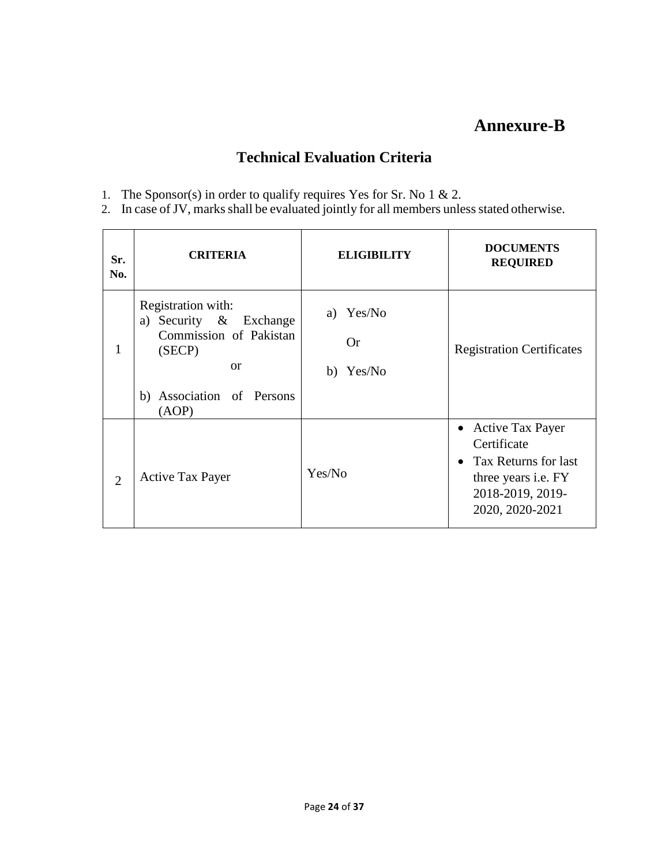# **Annexure-B**

#### **Technical Evaluation Criteria**

- <span id="page-23-0"></span>1. The Sponsor(s) in order to qualify requires Yes for Sr. No 1 & 2.
- 2. In case of JV, marks shall be evaluated jointly for all members unless stated otherwise.

| Sr.<br>No.     | <b>CRITERIA</b>                                                                                                                         | <b>ELIGIBILITY</b>                  | <b>DOCUMENTS</b><br><b>REQUIRED</b>                                                                                                                           |
|----------------|-----------------------------------------------------------------------------------------------------------------------------------------|-------------------------------------|---------------------------------------------------------------------------------------------------------------------------------------------------------------|
| $\mathbf{1}$   | Registration with:<br>a) Security & Exchange<br>Commission of Pakistan<br>(SECP)<br><sub>or</sub><br>b) Association of Persons<br>(AOP) | a) Yes/No<br><b>Or</b><br>b) Yes/No | <b>Registration Certificates</b>                                                                                                                              |
| $\overline{2}$ | <b>Active Tax Payer</b>                                                                                                                 | Yes/No                              | <b>Active Tax Payer</b><br>$\bullet$<br>Certificate<br>Tax Returns for last<br>$\bullet$<br>three years <i>i.e.</i> FY<br>2018-2019, 2019-<br>2020, 2020-2021 |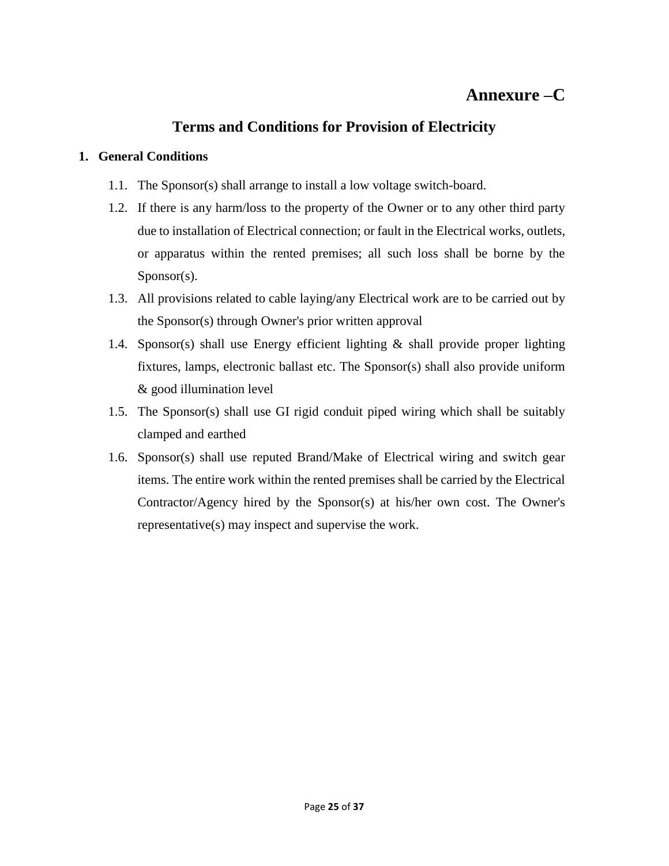### <span id="page-24-0"></span>**Annexure –C**

#### **Terms and Conditions for Provision of Electricity**

#### **1. General Conditions**

- 1.1. The Sponsor(s) shall arrange to install a low voltage switch-board.
- <span id="page-24-1"></span>1.2. If there is any harm/loss to the property of the Owner or to any other third party due to installation of Electrical connection; or fault in the Electrical works, outlets, or apparatus within the rented premises; all such loss shall be borne by the Sponsor(s).
- 1.3. All provisions related to cable laying/any Electrical work are to be carried out by the Sponsor(s) through Owner's prior written approval
- 1.4. Sponsor(s) shall use Energy efficient lighting & shall provide proper lighting fixtures, lamps, electronic ballast etc. The Sponsor(s) shall also provide uniform & good illumination level
- 1.5. The Sponsor(s) shall use GI rigid conduit piped wiring which shall be suitably clamped and earthed
- 1.6. Sponsor(s) shall use reputed Brand/Make of Electrical wiring and switch gear items. The entire work within the rented premises shall be carried by the Electrical Contractor/Agency hired by the Sponsor(s) at his/her own cost. The Owner's representative(s) may inspect and supervise the work.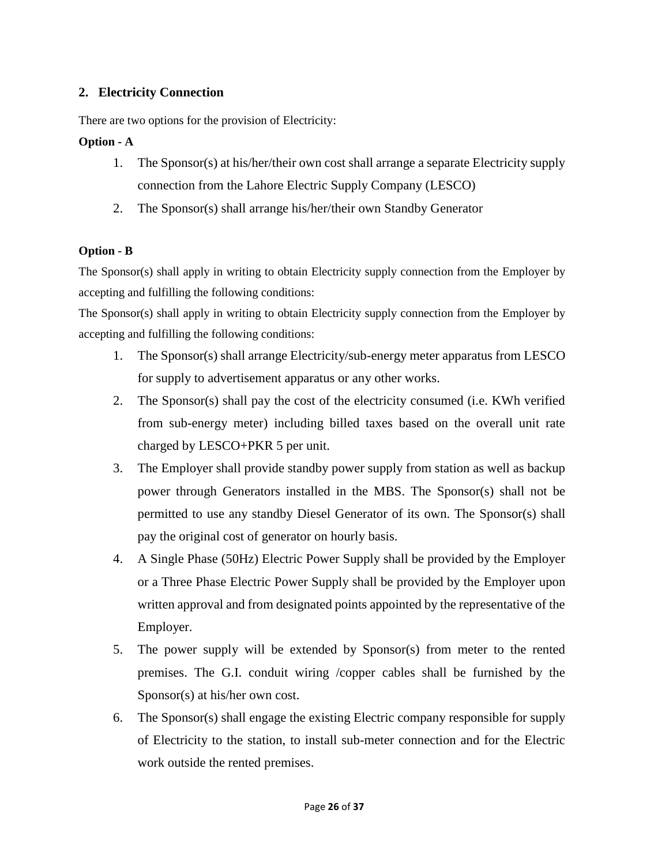#### **2. Electricity Connection**

There are two options for the provision of Electricity:

#### <span id="page-25-0"></span>**Option - A**

- 1. The Sponsor(s) at his/her/their own cost shall arrange a separate Electricity supply connection from the Lahore Electric Supply Company (LESCO)
- 2. The Sponsor(s) shall arrange his/her/their own Standby Generator

#### **Option - B**

The Sponsor(s) shall apply in writing to obtain Electricity supply connection from the Employer by accepting and fulfilling the following conditions:

The Sponsor(s) shall apply in writing to obtain Electricity supply connection from the Employer by accepting and fulfilling the following conditions:

- 1. The Sponsor(s) shall arrange Electricity/sub-energy meter apparatus from LESCO for supply to advertisement apparatus or any other works.
- 2. The Sponsor(s) shall pay the cost of the electricity consumed (i.e. KWh verified from sub-energy meter) including billed taxes based on the overall unit rate charged by LESCO+PKR 5 per unit.
- 3. The Employer shall provide standby power supply from station as well as backup power through Generators installed in the MBS. The Sponsor(s) shall not be permitted to use any standby Diesel Generator of its own. The Sponsor(s) shall pay the original cost of generator on hourly basis.
- 4. A Single Phase (50Hz) Electric Power Supply shall be provided by the Employer or a Three Phase Electric Power Supply shall be provided by the Employer upon written approval and from designated points appointed by the representative of the Employer.
- 5. The power supply will be extended by Sponsor(s) from meter to the rented premises. The G.I. conduit wiring /copper cables shall be furnished by the Sponsor(s) at his/her own cost.
- 6. The Sponsor(s) shall engage the existing Electric company responsible for supply of Electricity to the station, to install sub-meter connection and for the Electric work outside the rented premises.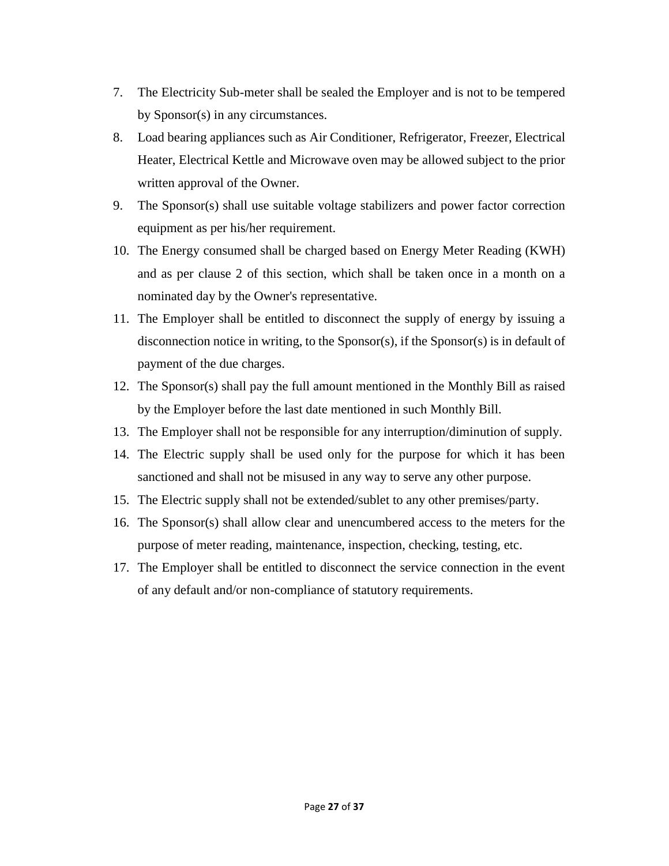- 7. The Electricity Sub-meter shall be sealed the Employer and is not to be tempered by Sponsor(s) in any circumstances.
- 8. Load bearing appliances such as Air Conditioner, Refrigerator, Freezer, Electrical Heater, Electrical Kettle and Microwave oven may be allowed subject to the prior written approval of the Owner.
- 9. The Sponsor(s) shall use suitable voltage stabilizers and power factor correction equipment as per his/her requirement.
- 10. The Energy consumed shall be charged based on Energy Meter Reading (KWH) and as per clause 2 of this section, which shall be taken once in a month on a nominated day by the Owner's representative.
- 11. The Employer shall be entitled to disconnect the supply of energy by issuing a disconnection notice in writing, to the Sponsor(s), if the Sponsor(s) is in default of payment of the due charges.
- 12. The Sponsor(s) shall pay the full amount mentioned in the Monthly Bill as raised by the Employer before the last date mentioned in such Monthly Bill.
- 13. The Employer shall not be responsible for any interruption/diminution of supply.
- 14. The Electric supply shall be used only for the purpose for which it has been sanctioned and shall not be misused in any way to serve any other purpose.
- 15. The Electric supply shall not be extended/sublet to any other premises/party.
- 16. The Sponsor(s) shall allow clear and unencumbered access to the meters for the purpose of meter reading, maintenance, inspection, checking, testing, etc.
- 17. The Employer shall be entitled to disconnect the service connection in the event of any default and/or non-compliance of statutory requirements.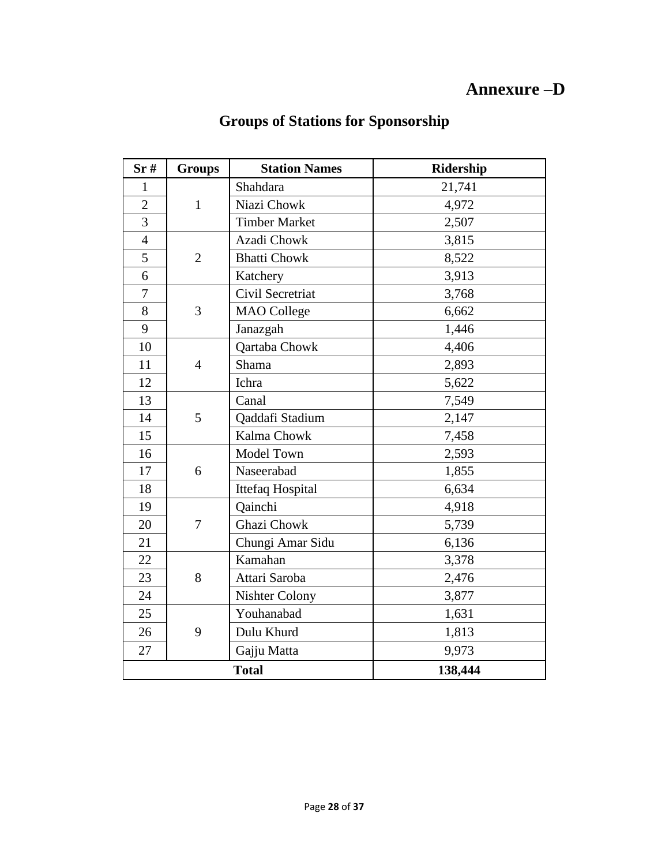# **Annexure –D**

# **Groups of Stations for Sponsorship**

<span id="page-27-0"></span>

| Sr#            | <b>Groups</b>  | <b>Station Names</b>  | <b>Ridership</b> |
|----------------|----------------|-----------------------|------------------|
| $\mathbf{1}$   |                | Shahdara              | 21,741           |
| $\overline{2}$ | $\mathbf{1}$   | Niazi Chowk           | 4,972            |
| $\overline{3}$ |                | <b>Timber Market</b>  | 2,507            |
| $\overline{4}$ |                | Azadi Chowk           | 3,815            |
| 5              | $\overline{2}$ | <b>Bhatti Chowk</b>   | 8,522            |
| 6              |                | Katchery              | 3,913            |
| $\overline{7}$ |                | Civil Secretriat      | 3,768            |
| 8              | 3              | <b>MAO</b> College    | 6,662            |
| 9              |                | Janazgah              | 1,446            |
| 10             |                | Qartaba Chowk         | 4,406            |
| 11             | $\overline{4}$ | Shama                 | 2,893            |
| 12             |                | Ichra                 | 5,622            |
| 13             |                | Canal                 | 7,549            |
| 14             | 5              | Qaddafi Stadium       | 2,147            |
| 15             |                | Kalma Chowk           | 7,458            |
| 16             |                | Model Town            | 2,593            |
| 17             | 6              | Naseerabad            | 1,855            |
| 18             |                | Ittefaq Hospital      | 6,634            |
| 19             |                | Qainchi               | 4,918            |
| 20             | 7              | Ghazi Chowk           | 5,739            |
| 21             |                | Chungi Amar Sidu      | 6,136            |
| 22             |                | Kamahan               | 3,378            |
| 23             | 8              | Attari Saroba         | 2,476            |
| 24             |                | <b>Nishter Colony</b> | 3,877            |
| 25             |                | Youhanabad            | 1,631            |
| 26             | 9              | Dulu Khurd            | 1,813            |
| 27             |                | Gajju Matta           | 9,973            |
|                |                | <b>Total</b>          | 138,444          |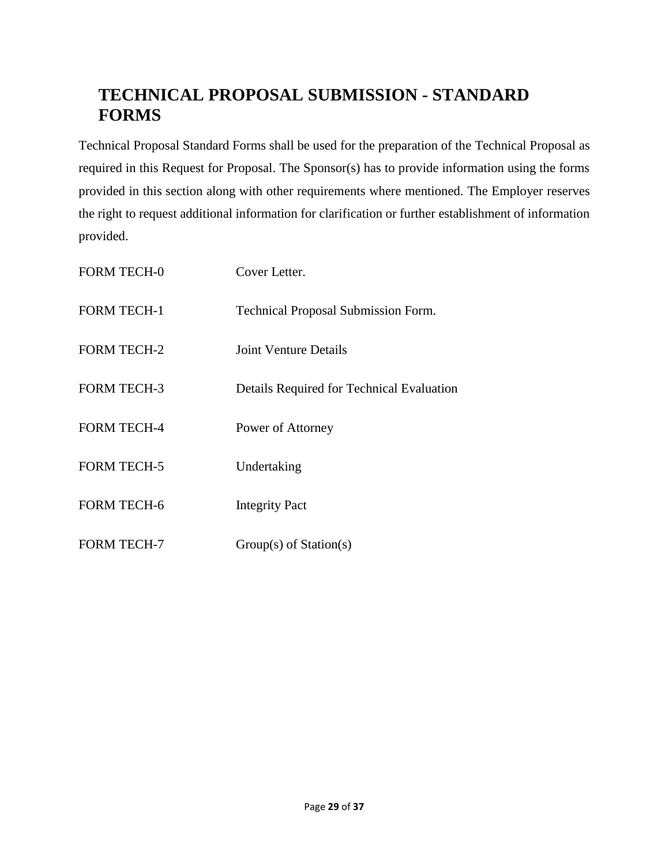# **TECHNICAL PROPOSAL SUBMISSION - STANDARD FORMS**

<span id="page-28-0"></span>Technical Proposal Standard Forms shall be used for the preparation of the Technical Proposal as required in this Request for Proposal. The Sponsor(s) has to provide information using the forms provided in this section along with other requirements where mentioned. The Employer reserves the right to request additional information for clarification or further establishment of information provided.

| <b>FORM TECH-0</b> | Cover Letter.                              |
|--------------------|--------------------------------------------|
| <b>FORM TECH-1</b> | <b>Technical Proposal Submission Form.</b> |
| <b>FORM TECH-2</b> | <b>Joint Venture Details</b>               |
| <b>FORM TECH-3</b> | Details Required for Technical Evaluation  |
| <b>FORM TECH-4</b> | Power of Attorney                          |
| <b>FORM TECH-5</b> | Undertaking                                |
| <b>FORM TECH-6</b> | <b>Integrity Pact</b>                      |
| <b>FORM TECH-7</b> | $Group(s)$ of Station(s)                   |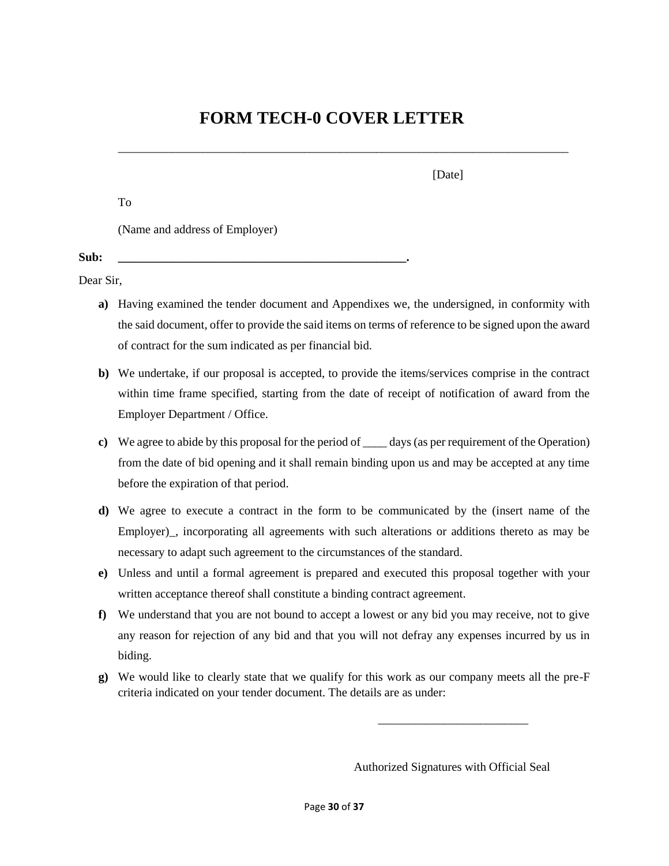## **FORM TECH-0 COVER LETTER**

<span id="page-29-0"></span>\_\_\_\_\_\_\_\_\_\_\_\_\_\_\_\_\_\_\_\_\_\_\_\_\_\_\_\_\_\_\_\_\_\_\_\_\_\_\_\_\_\_\_\_\_\_\_\_\_\_\_\_\_\_\_\_\_\_\_\_\_\_\_\_\_\_\_\_\_\_\_\_\_\_\_

To

[Date]

(Name and address of Employer)

**Sub: \_\_\_\_\_\_\_\_\_\_\_\_\_\_\_\_\_\_\_\_\_\_\_\_\_\_\_\_\_\_\_\_\_\_\_\_\_\_\_\_\_\_\_\_\_\_\_\_.** 

Dear Sir,

- **a)** Having examined the tender document and Appendixes we, the undersigned, in conformity with the said document, offer to provide the said items on terms of reference to be signed upon the award of contract for the sum indicated as per financial bid.
- **b)** We undertake, if our proposal is accepted, to provide the items/services comprise in the contract within time frame specified, starting from the date of receipt of notification of award from the Employer Department / Office.
- **c)** We agree to abide by this proposal for the period of \_\_\_\_ days (as per requirement of the Operation) from the date of bid opening and it shall remain binding upon us and may be accepted at any time before the expiration of that period.
- **d)** We agree to execute a contract in the form to be communicated by the (insert name of the Employer), incorporating all agreements with such alterations or additions thereto as may be necessary to adapt such agreement to the circumstances of the standard.
- **e)** Unless and until a formal agreement is prepared and executed this proposal together with your written acceptance thereof shall constitute a binding contract agreement.
- **f)** We understand that you are not bound to accept a lowest or any bid you may receive, not to give any reason for rejection of any bid and that you will not defray any expenses incurred by us in biding.
- **g)** We would like to clearly state that we qualify for this work as our company meets all the pre-F criteria indicated on your tender document. The details are as under:

Authorized Signatures with Official Seal

\_\_\_\_\_\_\_\_\_\_\_\_\_\_\_\_\_\_\_\_\_\_\_\_\_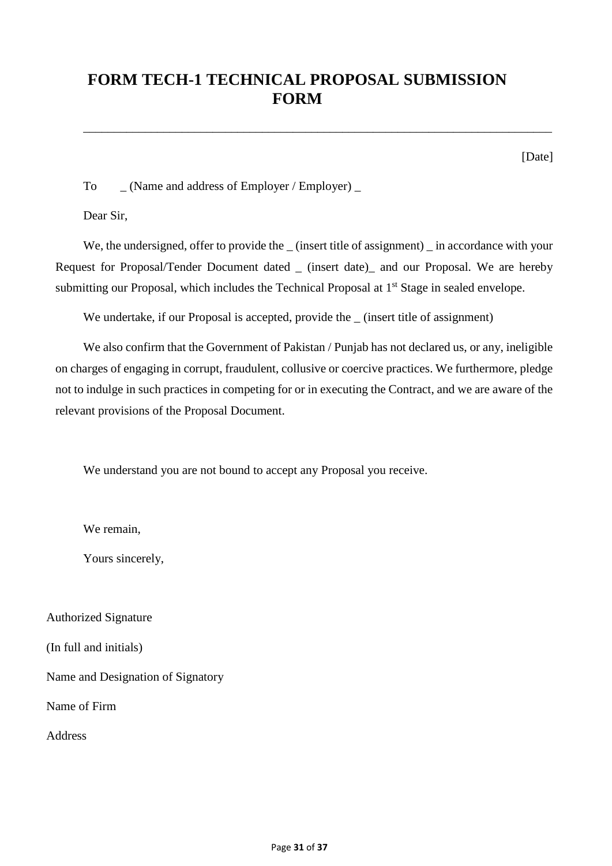## <span id="page-30-0"></span>**FORM TECH-1 TECHNICAL PROPOSAL SUBMISSION FORM**

\_\_\_\_\_\_\_\_\_\_\_\_\_\_\_\_\_\_\_\_\_\_\_\_\_\_\_\_\_\_\_\_\_\_\_\_\_\_\_\_\_\_\_\_\_\_\_\_\_\_\_\_\_\_\_\_\_\_\_\_\_\_\_\_\_\_\_\_\_\_\_\_\_\_\_\_

[Date]

To (Name and address of Employer / Employer)

Dear Sir,

We, the undersigned, offer to provide the (insert title of assignment) in accordance with your Request for Proposal/Tender Document dated \_ (insert date)\_ and our Proposal. We are hereby submitting our Proposal, which includes the Technical Proposal at 1<sup>st</sup> Stage in sealed envelope.

We undertake, if our Proposal is accepted, provide the \_ (insert title of assignment)

We also confirm that the Government of Pakistan / Punjab has not declared us, or any, ineligible on charges of engaging in corrupt, fraudulent, collusive or coercive practices. We furthermore, pledge not to indulge in such practices in competing for or in executing the Contract, and we are aware of the relevant provisions of the Proposal Document.

We understand you are not bound to accept any Proposal you receive.

We remain,

Yours sincerely,

Authorized Signature

(In full and initials)

Name and Designation of Signatory

Name of Firm

Address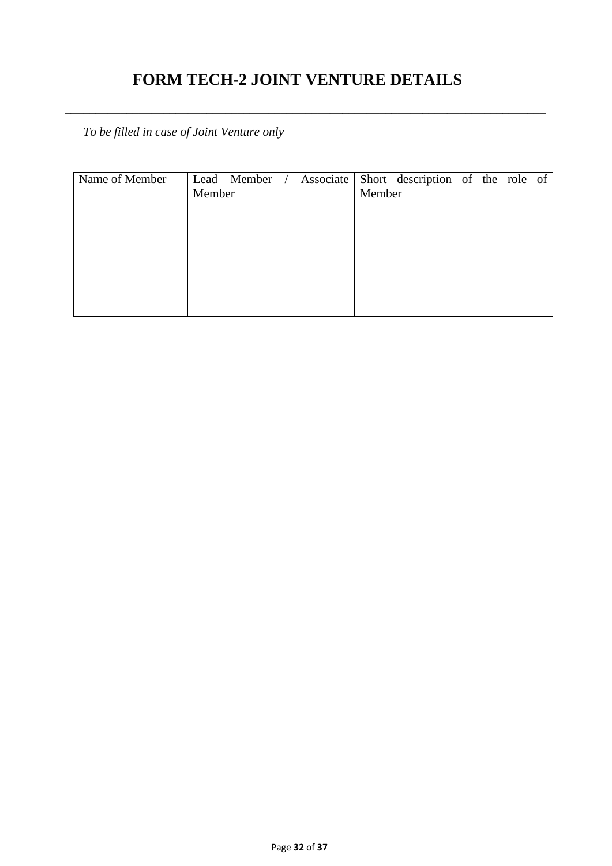# **FORM TECH-2 JOINT VENTURE DETAILS**

<span id="page-31-0"></span>*\_\_\_\_\_\_\_\_\_\_\_\_\_\_\_\_\_\_\_\_\_\_\_\_\_\_\_\_\_\_\_\_\_\_\_\_\_\_\_\_\_\_\_\_\_\_\_\_\_\_\_\_\_\_\_\_\_\_\_\_\_\_\_\_\_\_\_\_\_\_\_\_\_\_\_\_\_\_*

*To be filled in case of Joint Venture only*

| Name of Member |        |  |        | Lead Member / Associate Short description of the role of |  |  |
|----------------|--------|--|--------|----------------------------------------------------------|--|--|
|                | Member |  | Member |                                                          |  |  |
|                |        |  |        |                                                          |  |  |
|                |        |  |        |                                                          |  |  |
|                |        |  |        |                                                          |  |  |
|                |        |  |        |                                                          |  |  |
|                |        |  |        |                                                          |  |  |
|                |        |  |        |                                                          |  |  |
|                |        |  |        |                                                          |  |  |
|                |        |  |        |                                                          |  |  |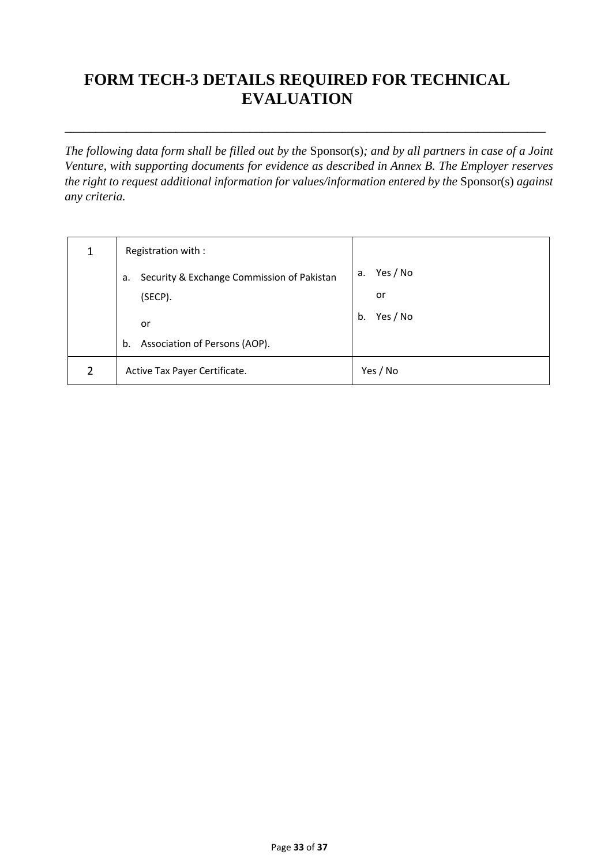# <span id="page-32-0"></span>**FORM TECH-3 DETAILS REQUIRED FOR TECHNICAL EVALUATION**

*The following data form shall be filled out by the* Sponsor(s)*; and by all partners in case of a Joint Venture, with supporting documents for evidence as described in Annex B. The Employer reserves the right to request additional information for values/information entered by the Sponsor(s) against any criteria.* 

*\_\_\_\_\_\_\_\_\_\_\_\_\_\_\_\_\_\_\_\_\_\_\_\_\_\_\_\_\_\_\_\_\_\_\_\_\_\_\_\_\_\_\_\_\_\_\_\_\_\_\_\_\_\_\_\_\_\_\_\_\_\_\_\_\_\_\_\_\_\_\_\_\_\_\_\_\_\_*

|               | Registration with :                              |                |
|---------------|--------------------------------------------------|----------------|
|               | Security & Exchange Commission of Pakistan<br>а. | Yes / No<br>а. |
|               | (SECP).                                          | or             |
|               | or                                               | Yes / No<br>b. |
|               | Association of Persons (AOP).<br>b.              |                |
| $\mathcal{P}$ | Active Tax Payer Certificate.                    | Yes / No       |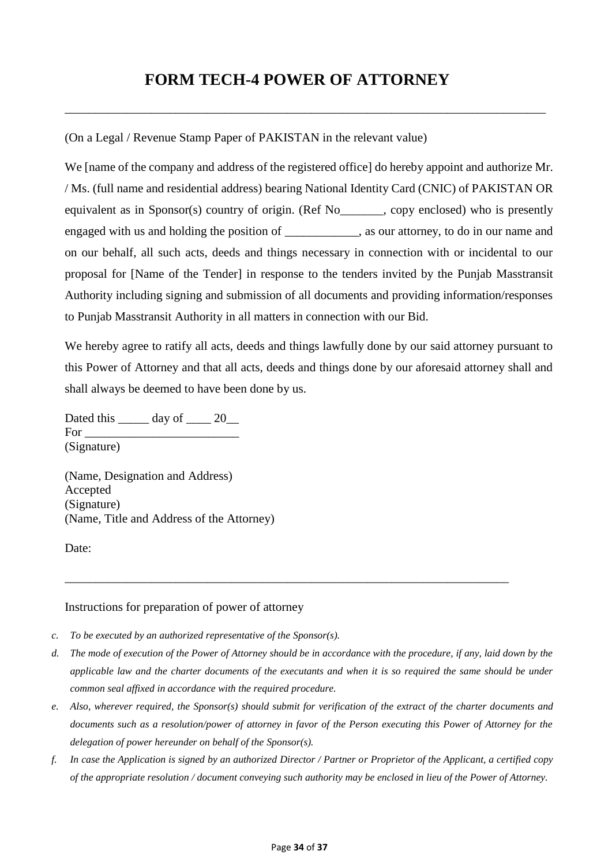### **FORM TECH-4 POWER OF ATTORNEY**

<span id="page-33-0"></span>\_\_\_\_\_\_\_\_\_\_\_\_\_\_\_\_\_\_\_\_\_\_\_\_\_\_\_\_\_\_\_\_\_\_\_\_\_\_\_\_\_\_\_\_\_\_\_\_\_\_\_\_\_\_\_\_\_\_\_\_\_\_\_\_\_\_\_\_\_\_\_\_\_\_\_\_\_\_

(On a Legal / Revenue Stamp Paper of PAKISTAN in the relevant value)

We [name of the company and address of the registered office] do hereby appoint and authorize Mr. / Ms. (full name and residential address) bearing National Identity Card (CNIC) of PAKISTAN OR equivalent as in Sponsor(s) country of origin. (Ref No copy enclosed) who is presently engaged with us and holding the position of \_\_\_\_\_\_\_\_\_\_\_\_, as our attorney, to do in our name and on our behalf, all such acts, deeds and things necessary in connection with or incidental to our proposal for [Name of the Tender] in response to the tenders invited by the Punjab Masstransit Authority including signing and submission of all documents and providing information/responses to Punjab Masstransit Authority in all matters in connection with our Bid.

We hereby agree to ratify all acts, deeds and things lawfully done by our said attorney pursuant to this Power of Attorney and that all acts, deeds and things done by our aforesaid attorney shall and shall always be deemed to have been done by us.

Dated this day of 20  $For$ (Signature)

(Name, Designation and Address) Accepted (Signature) (Name, Title and Address of the Attorney)

Date:

#### Instructions for preparation of power of attorney

- *c. To be executed by an authorized representative of the Sponsor(s).*
- *d. The mode of execution of the Power of Attorney should be in accordance with the procedure, if any, laid down by the applicable law and the charter documents of the executants and when it is so required the same should be under common seal affixed in accordance with the required procedure.*

\_\_\_\_\_\_\_\_\_\_\_\_\_\_\_\_\_\_\_\_\_\_\_\_\_\_\_\_\_\_\_\_\_\_\_\_\_\_\_\_\_\_\_\_\_\_\_\_\_\_\_\_\_\_\_\_\_\_\_\_\_\_\_\_\_\_\_\_\_\_\_\_

- *e. Also, wherever required, the Sponsor(s) should submit for verification of the extract of the charter documents and documents such as a resolution/power of attorney in favor of the Person executing this Power of Attorney for the delegation of power hereunder on behalf of the Sponsor(s).*
- *f. In case the Application is signed by an authorized Director / Partner or Proprietor of the Applicant, a certified copy of the appropriate resolution / document conveying such authority may be enclosed in lieu of the Power of Attorney.*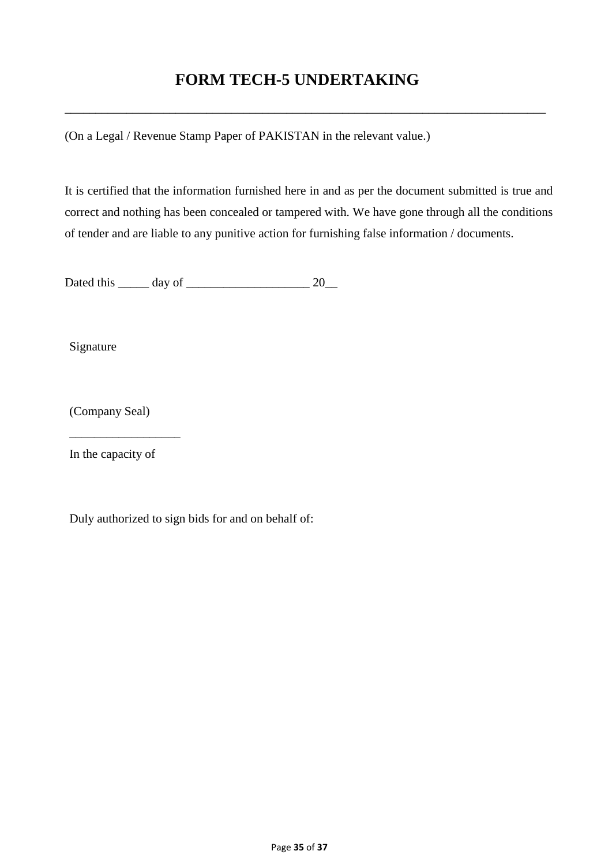# **FORM TECH-5 UNDERTAKING**

<span id="page-34-0"></span>\_\_\_\_\_\_\_\_\_\_\_\_\_\_\_\_\_\_\_\_\_\_\_\_\_\_\_\_\_\_\_\_\_\_\_\_\_\_\_\_\_\_\_\_\_\_\_\_\_\_\_\_\_\_\_\_\_\_\_\_\_\_\_\_\_\_\_\_\_\_\_\_\_\_\_\_\_\_

(On a Legal / Revenue Stamp Paper of PAKISTAN in the relevant value.)

It is certified that the information furnished here in and as per the document submitted is true and correct and nothing has been concealed or tampered with. We have gone through all the conditions of tender and are liable to any punitive action for furnishing false information / documents.

Dated this \_\_\_\_\_ day of \_\_\_\_\_\_\_\_\_\_\_\_\_\_\_\_\_\_\_\_ 20\_\_

Signature

(Company Seal)

In the capacity of

\_\_\_\_\_\_\_\_\_\_\_\_\_\_\_\_\_\_

Duly authorized to sign bids for and on behalf of: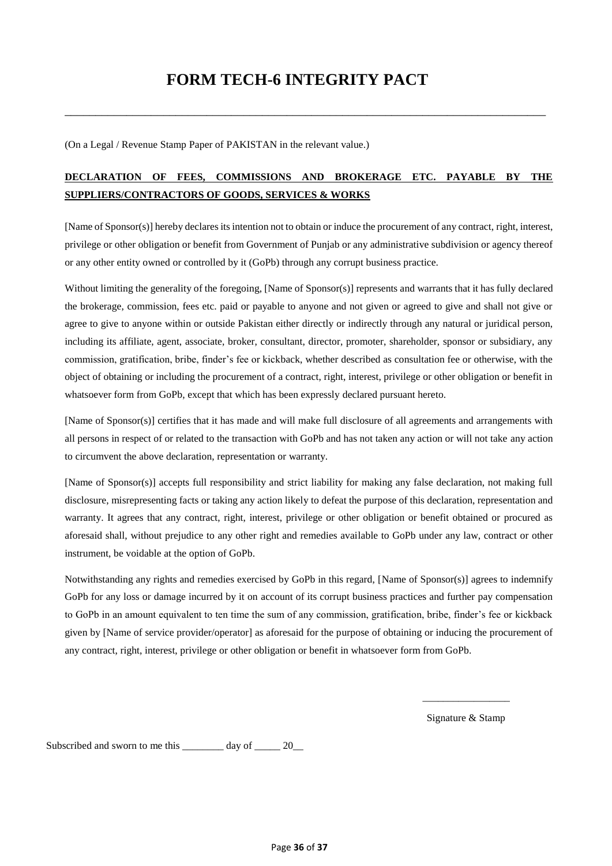# **FORM TECH-6 INTEGRITY PACT**

<span id="page-35-0"></span>\_\_\_\_\_\_\_\_\_\_\_\_\_\_\_\_\_\_\_\_\_\_\_\_\_\_\_\_\_\_\_\_\_\_\_\_\_\_\_\_\_\_\_\_\_\_\_\_\_\_\_\_\_\_\_\_\_\_\_\_\_\_\_\_\_\_\_\_\_\_\_\_\_\_\_\_\_\_

(On a Legal / Revenue Stamp Paper of PAKISTAN in the relevant value.)

#### **DECLARATION OF FEES, COMMISSIONS AND BROKERAGE ETC. PAYABLE BY THE SUPPLIERS/CONTRACTORS OF GOODS, SERVICES & WORKS**

[Name of Sponsor(s)] hereby declares its intention not to obtain or induce the procurement of any contract, right, interest, privilege or other obligation or benefit from Government of Punjab or any administrative subdivision or agency thereof or any other entity owned or controlled by it (GoPb) through any corrupt business practice.

Without limiting the generality of the foregoing, [Name of Sponsor(s)] represents and warrants that it has fully declared the brokerage, commission, fees etc. paid or payable to anyone and not given or agreed to give and shall not give or agree to give to anyone within or outside Pakistan either directly or indirectly through any natural or juridical person, including its affiliate, agent, associate, broker, consultant, director, promoter, shareholder, sponsor or subsidiary, any commission, gratification, bribe, finder's fee or kickback, whether described as consultation fee or otherwise, with the object of obtaining or including the procurement of a contract, right, interest, privilege or other obligation or benefit in whatsoever form from GoPb, except that which has been expressly declared pursuant hereto.

[Name of Sponsor(s)] certifies that it has made and will make full disclosure of all agreements and arrangements with all persons in respect of or related to the transaction with GoPb and has not taken any action or will not take any action to circumvent the above declaration, representation or warranty.

[Name of Sponsor(s)] accepts full responsibility and strict liability for making any false declaration, not making full disclosure, misrepresenting facts or taking any action likely to defeat the purpose of this declaration, representation and warranty. It agrees that any contract, right, interest, privilege or other obligation or benefit obtained or procured as aforesaid shall, without prejudice to any other right and remedies available to GoPb under any law, contract or other instrument, be voidable at the option of GoPb.

Notwithstanding any rights and remedies exercised by GoPb in this regard, [Name of Sponsor(s)] agrees to indemnify GoPb for any loss or damage incurred by it on account of its corrupt business practices and further pay compensation to GoPb in an amount equivalent to ten time the sum of any commission, gratification, bribe, finder's fee or kickback given by [Name of service provider/operator] as aforesaid for the purpose of obtaining or inducing the procurement of any contract, right, interest, privilege or other obligation or benefit in whatsoever form from GoPb.

> \_\_\_\_\_\_\_\_\_\_\_\_\_\_\_\_\_ Signature & Stamp

Subscribed and sworn to me this \_\_\_\_\_\_\_\_ day of \_\_\_\_\_ 20\_